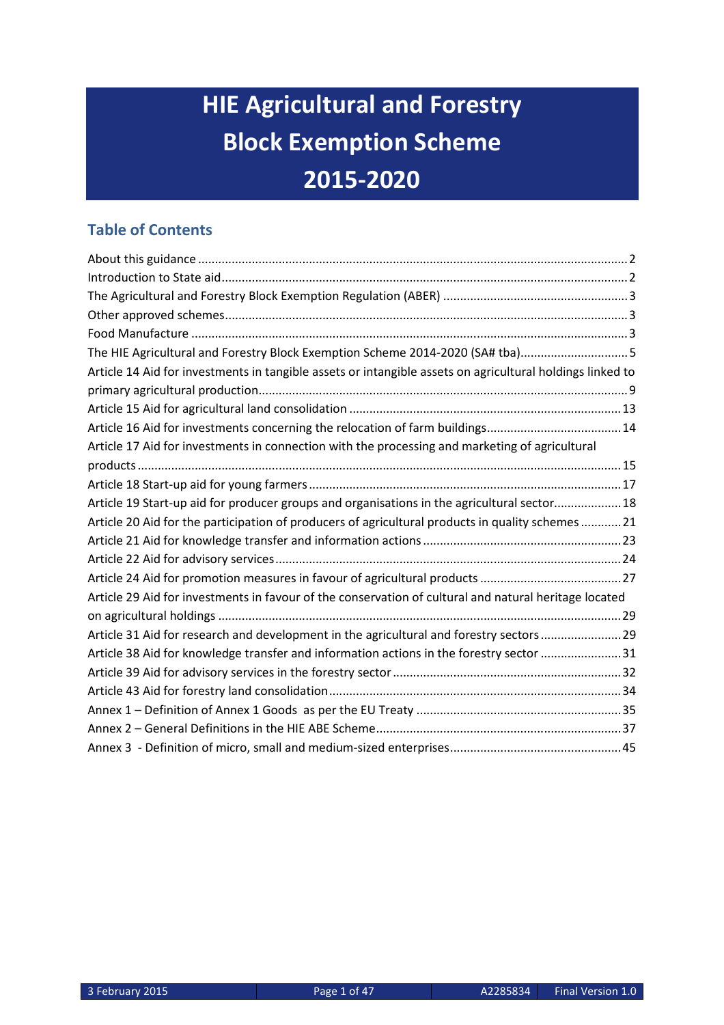# HIE Agricultural and Forestry Block Exemption Scheme 2015-2020

# Table of Contents

| The HIE Agricultural and Forestry Block Exemption Scheme 2014-2020 (SA# tba)5                             |
|-----------------------------------------------------------------------------------------------------------|
| Article 14 Aid for investments in tangible assets or intangible assets on agricultural holdings linked to |
|                                                                                                           |
|                                                                                                           |
| Article 16 Aid for investments concerning the relocation of farm buildings14                              |
| Article 17 Aid for investments in connection with the processing and marketing of agricultural            |
|                                                                                                           |
|                                                                                                           |
| Article 19 Start-up aid for producer groups and organisations in the agricultural sector 18               |
| Article 20 Aid for the participation of producers of agricultural products in quality schemes 21          |
|                                                                                                           |
|                                                                                                           |
|                                                                                                           |
| Article 29 Aid for investments in favour of the conservation of cultural and natural heritage located     |
|                                                                                                           |
| Article 31 Aid for research and development in the agricultural and forestry sectors29                    |
| Article 38 Aid for knowledge transfer and information actions in the forestry sector 31                   |
|                                                                                                           |
|                                                                                                           |
|                                                                                                           |
|                                                                                                           |
|                                                                                                           |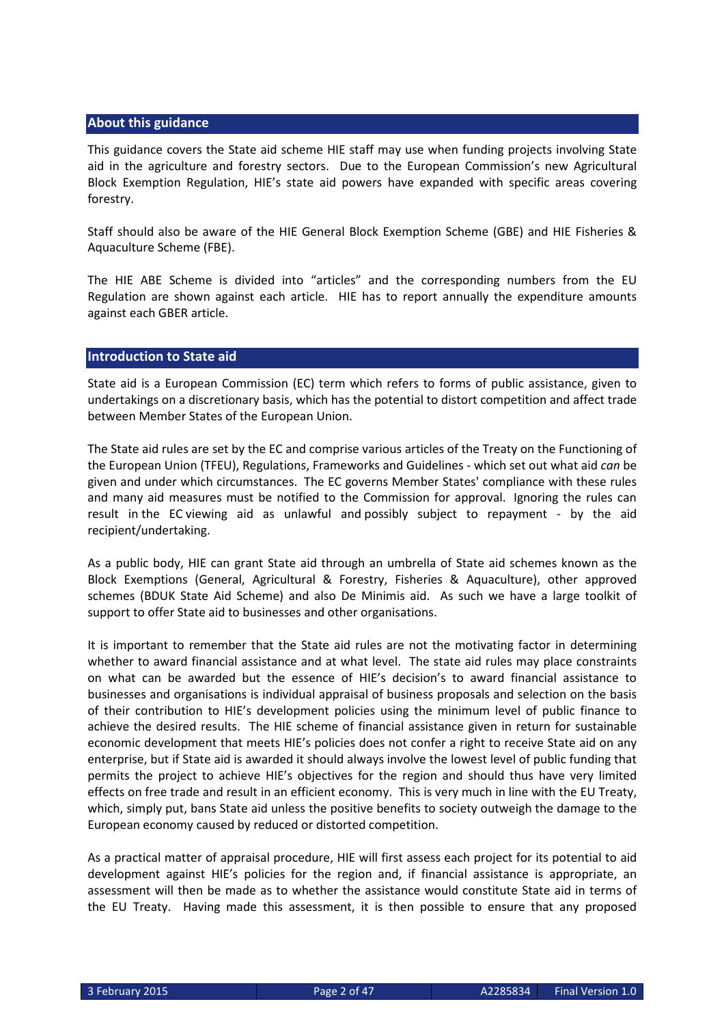# About this guidance

This guidance covers the State aid scheme HIE staff may use when funding projects involving State aid in the agriculture and forestry sectors. Due to the European Commission's new Agricultural Block Exemption Regulation, HIE's state aid powers have expanded with specific areas covering forestry.

Staff should also be aware of the HIE General Block Exemption Scheme (GBE) and HIE Fisheries & Aquaculture Scheme (FBE).

The HIE ABE Scheme is divided into "articles" and the corresponding numbers from the EU Regulation are shown against each article. HIE has to report annually the expenditure amounts against each GBER article.

## Introduction to State aid

State aid is a European Commission (EC) term which refers to forms of public assistance, given to undertakings on a discretionary basis, which has the potential to distort competition and affect trade between Member States of the European Union.

The State aid rules are set by the EC and comprise various articles of the Treaty on the Functioning of the European Union (TFEU), Regulations, Frameworks and Guidelines - which set out what aid can be given and under which circumstances. The EC governs Member States' compliance with these rules and many aid measures must be notified to the Commission for approval. Ignoring the rules can result in the EC viewing aid as unlawful and possibly subject to repayment - by the aid recipient/undertaking.

As a public body, HIE can grant State aid through an umbrella of State aid schemes known as the Block Exemptions (General, Agricultural & Forestry, Fisheries & Aquaculture), other approved schemes (BDUK State Aid Scheme) and also De Minimis aid. As such we have a large toolkit of support to offer State aid to businesses and other organisations.

It is important to remember that the State aid rules are not the motivating factor in determining whether to award financial assistance and at what level. The state aid rules may place constraints on what can be awarded but the essence of HIE's decision's to award financial assistance to businesses and organisations is individual appraisal of business proposals and selection on the basis of their contribution to HIE's development policies using the minimum level of public finance to achieve the desired results. The HIE scheme of financial assistance given in return for sustainable economic development that meets HIE's policies does not confer a right to receive State aid on any enterprise, but if State aid is awarded it should always involve the lowest level of public funding that permits the project to achieve HIE's objectives for the region and should thus have very limited effects on free trade and result in an efficient economy. This is very much in line with the EU Treaty, which, simply put, bans State aid unless the positive benefits to society outweigh the damage to the European economy caused by reduced or distorted competition.

As a practical matter of appraisal procedure, HIE will first assess each project for its potential to aid development against HIE's policies for the region and, if financial assistance is appropriate, an assessment will then be made as to whether the assistance would constitute State aid in terms of the EU Treaty. Having made this assessment, it is then possible to ensure that any proposed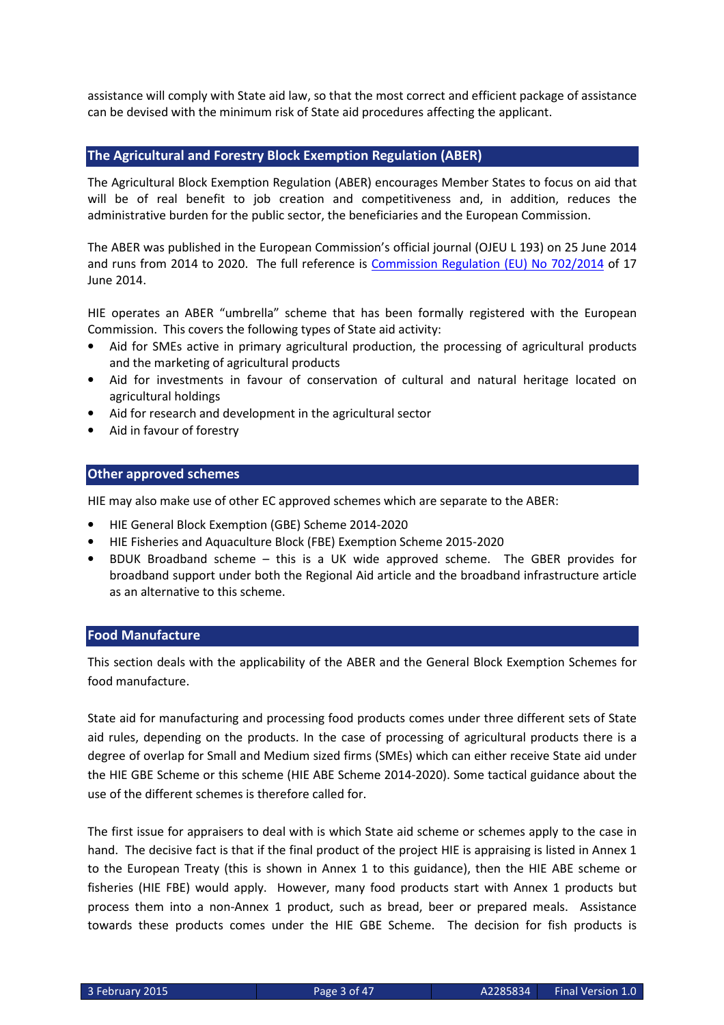assistance will comply with State aid law, so that the most correct and efficient package of assistance can be devised with the minimum risk of State aid procedures affecting the applicant.

# The Agricultural and Forestry Block Exemption Regulation (ABER)

The Agricultural Block Exemption Regulation (ABER) encourages Member States to focus on aid that will be of real benefit to job creation and competitiveness and, in addition, reduces the administrative burden for the public sector, the beneficiaries and the European Commission.

The ABER was published in the European Commission's official journal (OJEU L 193) on 25 June 2014 and runs from 2014 to 2020. The full reference is Commission Regulation (EU) No 702/2014 of 17 June 2014.

HIE operates an ABER "umbrella" scheme that has been formally registered with the European Commission. This covers the following types of State aid activity:

- Aid for SMEs active in primary agricultural production, the processing of agricultural products and the marketing of agricultural products
- Aid for investments in favour of conservation of cultural and natural heritage located on agricultural holdings
- Aid for research and development in the agricultural sector
- Aid in favour of forestry

## Other approved schemes

HIE may also make use of other EC approved schemes which are separate to the ABER:

- HIE General Block Exemption (GBE) Scheme 2014-2020
- HIE Fisheries and Aquaculture Block (FBE) Exemption Scheme 2015-2020
- BDUK Broadband scheme this is a UK wide approved scheme. The GBER provides for broadband support under both the Regional Aid article and the broadband infrastructure article as an alternative to this scheme.

## Food Manufacture

This section deals with the applicability of the ABER and the General Block Exemption Schemes for food manufacture.

State aid for manufacturing and processing food products comes under three different sets of State aid rules, depending on the products. In the case of processing of agricultural products there is a degree of overlap for Small and Medium sized firms (SMEs) which can either receive State aid under the HIE GBE Scheme or this scheme (HIE ABE Scheme 2014-2020). Some tactical guidance about the use of the different schemes is therefore called for.

The first issue for appraisers to deal with is which State aid scheme or schemes apply to the case in hand. The decisive fact is that if the final product of the project HIE is appraising is listed in Annex 1 to the European Treaty (this is shown in Annex 1 to this guidance), then the HIE ABE scheme or fisheries (HIE FBE) would apply. However, many food products start with Annex 1 products but process them into a non-Annex 1 product, such as bread, beer or prepared meals. Assistance towards these products comes under the HIE GBE Scheme. The decision for fish products is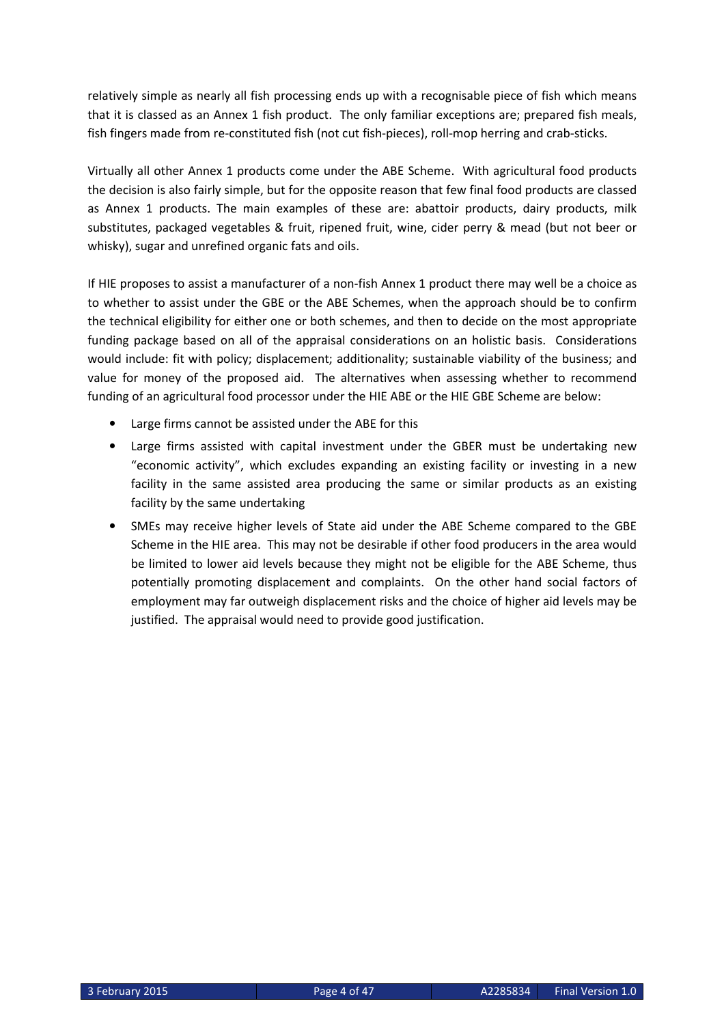relatively simple as nearly all fish processing ends up with a recognisable piece of fish which means that it is classed as an Annex 1 fish product. The only familiar exceptions are; prepared fish meals, fish fingers made from re-constituted fish (not cut fish-pieces), roll-mop herring and crab-sticks.

Virtually all other Annex 1 products come under the ABE Scheme. With agricultural food products the decision is also fairly simple, but for the opposite reason that few final food products are classed as Annex 1 products. The main examples of these are: abattoir products, dairy products, milk substitutes, packaged vegetables & fruit, ripened fruit, wine, cider perry & mead (but not beer or whisky), sugar and unrefined organic fats and oils.

If HIE proposes to assist a manufacturer of a non-fish Annex 1 product there may well be a choice as to whether to assist under the GBE or the ABE Schemes, when the approach should be to confirm the technical eligibility for either one or both schemes, and then to decide on the most appropriate funding package based on all of the appraisal considerations on an holistic basis. Considerations would include: fit with policy; displacement; additionality; sustainable viability of the business; and value for money of the proposed aid. The alternatives when assessing whether to recommend funding of an agricultural food processor under the HIE ABE or the HIE GBE Scheme are below:

- Large firms cannot be assisted under the ABE for this
- Large firms assisted with capital investment under the GBER must be undertaking new "economic activity", which excludes expanding an existing facility or investing in a new facility in the same assisted area producing the same or similar products as an existing facility by the same undertaking
- SMEs may receive higher levels of State aid under the ABE Scheme compared to the GBE Scheme in the HIE area. This may not be desirable if other food producers in the area would be limited to lower aid levels because they might not be eligible for the ABE Scheme, thus potentially promoting displacement and complaints. On the other hand social factors of employment may far outweigh displacement risks and the choice of higher aid levels may be justified. The appraisal would need to provide good justification.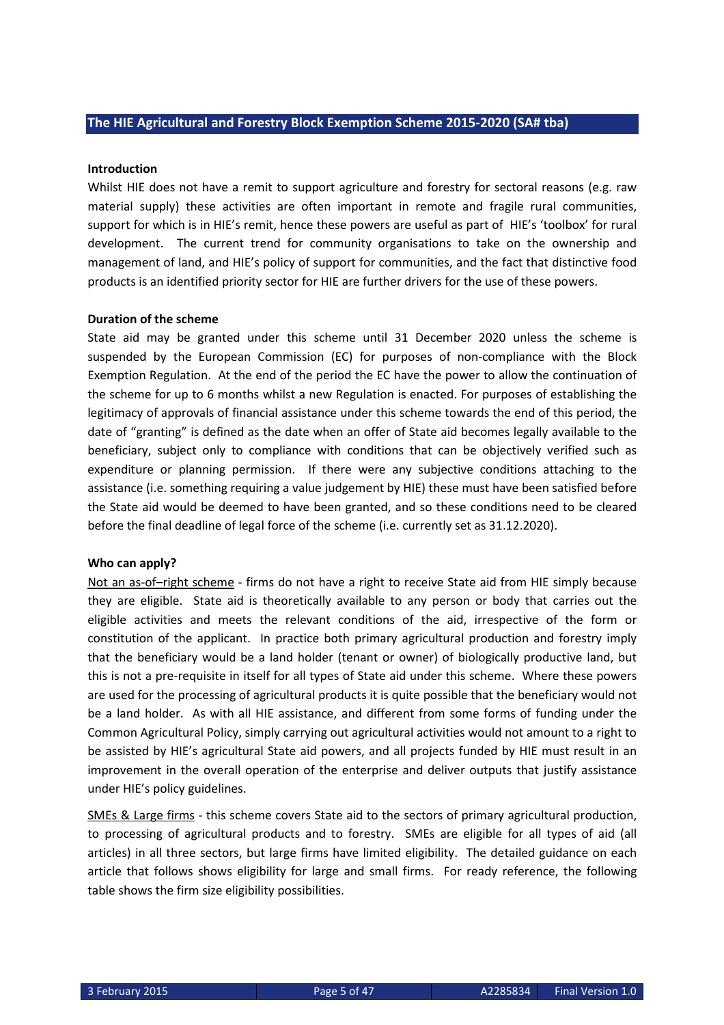## The HIE Agricultural and Forestry Block Exemption Scheme 2015-2020 (SA# tba)

## Introduction

Whilst HIE does not have a remit to support agriculture and forestry for sectoral reasons (e.g. raw material supply) these activities are often important in remote and fragile rural communities, support for which is in HIE's remit, hence these powers are useful as part of HIE's 'toolbox' for rural development. The current trend for community organisations to take on the ownership and management of land, and HIE's policy of support for communities, and the fact that distinctive food products is an identified priority sector for HIE are further drivers for the use of these powers.

### Duration of the scheme

State aid may be granted under this scheme until 31 December 2020 unless the scheme is suspended by the European Commission (EC) for purposes of non-compliance with the Block Exemption Regulation. At the end of the period the EC have the power to allow the continuation of the scheme for up to 6 months whilst a new Regulation is enacted. For purposes of establishing the legitimacy of approvals of financial assistance under this scheme towards the end of this period, the date of "granting" is defined as the date when an offer of State aid becomes legally available to the beneficiary, subject only to compliance with conditions that can be objectively verified such as expenditure or planning permission. If there were any subjective conditions attaching to the assistance (i.e. something requiring a value judgement by HIE) these must have been satisfied before the State aid would be deemed to have been granted, and so these conditions need to be cleared before the final deadline of legal force of the scheme (i.e. currently set as 31.12.2020).

#### Who can apply?

Not an as-of–right scheme - firms do not have a right to receive State aid from HIE simply because they are eligible. State aid is theoretically available to any person or body that carries out the eligible activities and meets the relevant conditions of the aid, irrespective of the form or constitution of the applicant. In practice both primary agricultural production and forestry imply that the beneficiary would be a land holder (tenant or owner) of biologically productive land, but this is not a pre-requisite in itself for all types of State aid under this scheme. Where these powers are used for the processing of agricultural products it is quite possible that the beneficiary would not be a land holder. As with all HIE assistance, and different from some forms of funding under the Common Agricultural Policy, simply carrying out agricultural activities would not amount to a right to be assisted by HIE's agricultural State aid powers, and all projects funded by HIE must result in an improvement in the overall operation of the enterprise and deliver outputs that justify assistance under HIE's policy guidelines.

SMEs & Large firms - this scheme covers State aid to the sectors of primary agricultural production, to processing of agricultural products and to forestry. SMEs are eligible for all types of aid (all articles) in all three sectors, but large firms have limited eligibility. The detailed guidance on each article that follows shows eligibility for large and small firms. For ready reference, the following table shows the firm size eligibility possibilities.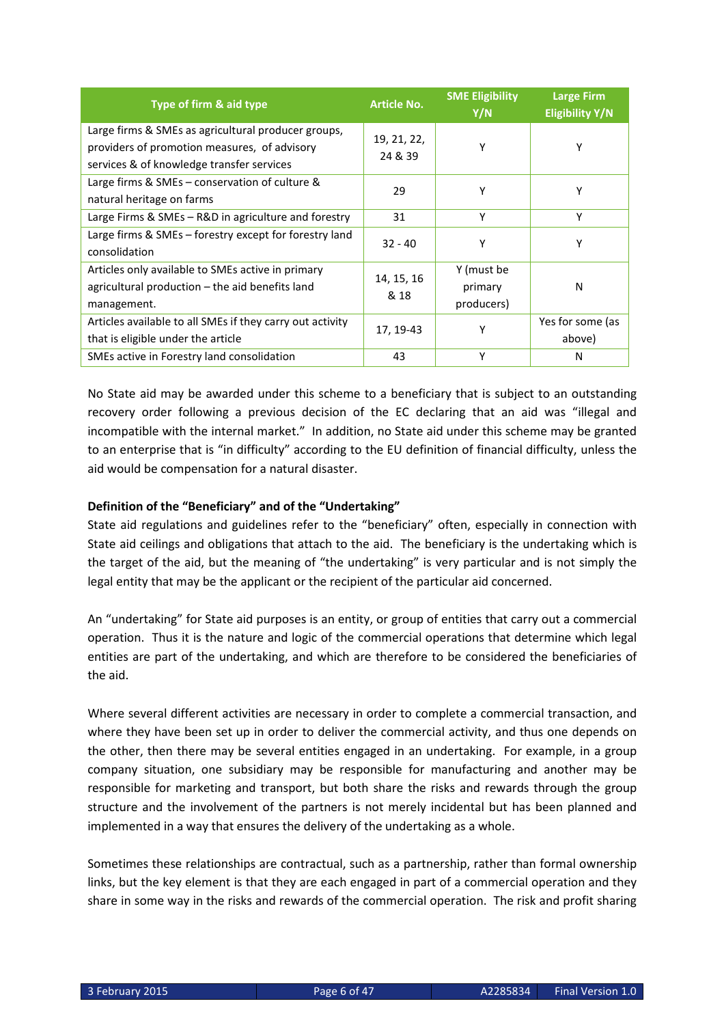| Type of firm & aid type                                                                                                                          | <b>Article No.</b>     | <b>SME Eligibility</b><br>Y/N       | <b>Large Firm</b><br><b>Eligibility Y/N</b> |
|--------------------------------------------------------------------------------------------------------------------------------------------------|------------------------|-------------------------------------|---------------------------------------------|
| Large firms & SMEs as agricultural producer groups,<br>providers of promotion measures, of advisory<br>services & of knowledge transfer services | 19, 21, 22,<br>24 & 39 | Υ                                   | γ                                           |
| Large firms $&$ SMEs – conservation of culture $&$<br>natural heritage on farms                                                                  | 29                     | Υ                                   | Υ                                           |
| Large Firms & SMEs - R&D in agriculture and forestry                                                                                             | 31                     | Υ                                   | Υ                                           |
| Large firms & SMEs - forestry except for forestry land<br>consolidation                                                                          | $32 - 40$              | γ                                   | Υ                                           |
| Articles only available to SMEs active in primary<br>agricultural production – the aid benefits land<br>management.                              | 14, 15, 16<br>& 18     | Y (must be<br>primary<br>producers) | N                                           |
| Articles available to all SMEs if they carry out activity<br>that is eligible under the article                                                  | 17, 19-43              | γ                                   | Yes for some (as<br>above)                  |
| SMEs active in Forestry land consolidation                                                                                                       | 43                     | Υ                                   | N                                           |

No State aid may be awarded under this scheme to a beneficiary that is subject to an outstanding recovery order following a previous decision of the EC declaring that an aid was "illegal and incompatible with the internal market." In addition, no State aid under this scheme may be granted to an enterprise that is "in difficulty" according to the EU definition of financial difficulty, unless the aid would be compensation for a natural disaster.

# Definition of the "Beneficiary" and of the "Undertaking"

State aid regulations and guidelines refer to the "beneficiary" often, especially in connection with State aid ceilings and obligations that attach to the aid. The beneficiary is the undertaking which is the target of the aid, but the meaning of "the undertaking" is very particular and is not simply the legal entity that may be the applicant or the recipient of the particular aid concerned.

An "undertaking" for State aid purposes is an entity, or group of entities that carry out a commercial operation. Thus it is the nature and logic of the commercial operations that determine which legal entities are part of the undertaking, and which are therefore to be considered the beneficiaries of the aid.

Where several different activities are necessary in order to complete a commercial transaction, and where they have been set up in order to deliver the commercial activity, and thus one depends on the other, then there may be several entities engaged in an undertaking. For example, in a group company situation, one subsidiary may be responsible for manufacturing and another may be responsible for marketing and transport, but both share the risks and rewards through the group structure and the involvement of the partners is not merely incidental but has been planned and implemented in a way that ensures the delivery of the undertaking as a whole.

Sometimes these relationships are contractual, such as a partnership, rather than formal ownership links, but the key element is that they are each engaged in part of a commercial operation and they share in some way in the risks and rewards of the commercial operation. The risk and profit sharing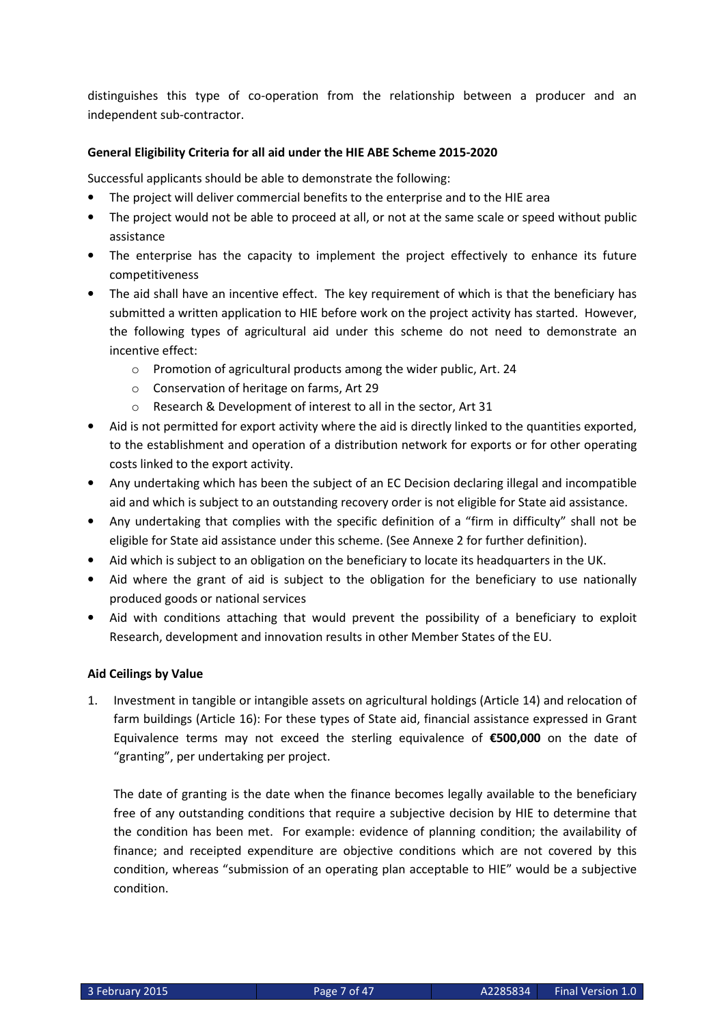distinguishes this type of co-operation from the relationship between a producer and an independent sub-contractor.

# General Eligibility Criteria for all aid under the HIE ABE Scheme 2015-2020

Successful applicants should be able to demonstrate the following:

- The project will deliver commercial benefits to the enterprise and to the HIE area
- The project would not be able to proceed at all, or not at the same scale or speed without public assistance
- The enterprise has the capacity to implement the project effectively to enhance its future competitiveness
- The aid shall have an incentive effect. The key requirement of which is that the beneficiary has submitted a written application to HIE before work on the project activity has started. However, the following types of agricultural aid under this scheme do not need to demonstrate an incentive effect:
	- o Promotion of agricultural products among the wider public, Art. 24
	- o Conservation of heritage on farms, Art 29
	- o Research & Development of interest to all in the sector, Art 31
- Aid is not permitted for export activity where the aid is directly linked to the quantities exported, to the establishment and operation of a distribution network for exports or for other operating costs linked to the export activity.
- Any undertaking which has been the subject of an EC Decision declaring illegal and incompatible aid and which is subject to an outstanding recovery order is not eligible for State aid assistance.
- Any undertaking that complies with the specific definition of a "firm in difficulty" shall not be eligible for State aid assistance under this scheme. (See Annexe 2 for further definition).
- Aid which is subject to an obligation on the beneficiary to locate its headquarters in the UK.
- Aid where the grant of aid is subject to the obligation for the beneficiary to use nationally produced goods or national services
- Aid with conditions attaching that would prevent the possibility of a beneficiary to exploit Research, development and innovation results in other Member States of the EU.

# Aid Ceilings by Value

1. Investment in tangible or intangible assets on agricultural holdings (Article 14) and relocation of farm buildings (Article 16): For these types of State aid, financial assistance expressed in Grant Equivalence terms may not exceed the sterling equivalence of €500,000 on the date of "granting", per undertaking per project.

The date of granting is the date when the finance becomes legally available to the beneficiary free of any outstanding conditions that require a subjective decision by HIE to determine that the condition has been met. For example: evidence of planning condition; the availability of finance; and receipted expenditure are objective conditions which are not covered by this condition, whereas "submission of an operating plan acceptable to HIE" would be a subjective condition.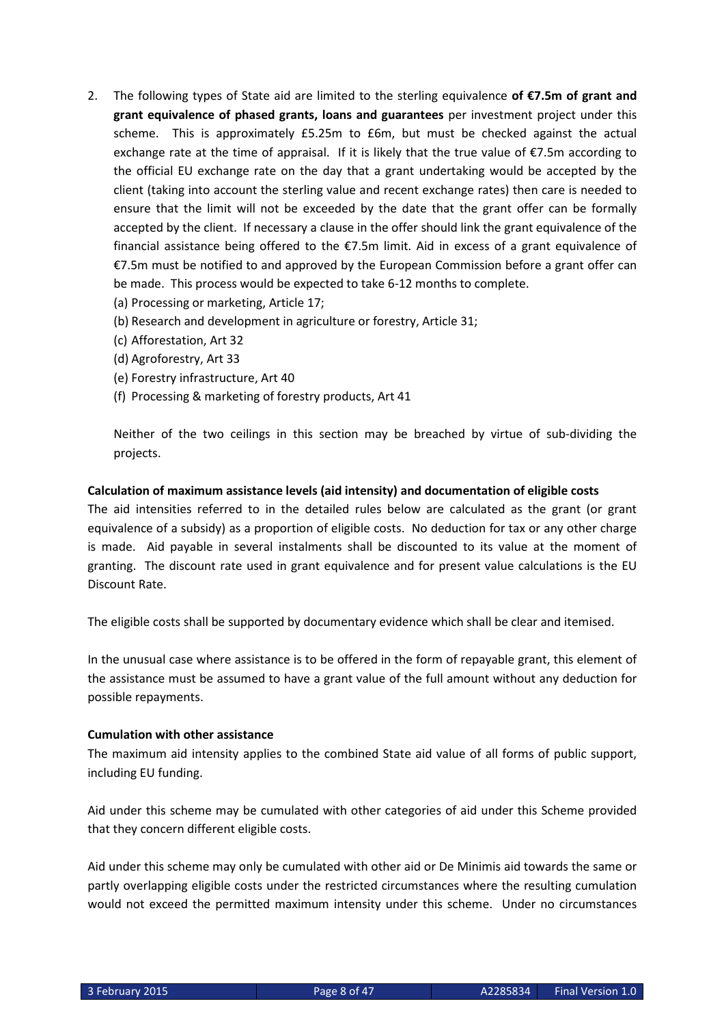- 2. The following types of State aid are limited to the sterling equivalence of  $E$ 7.5m of grant and grant equivalence of phased grants, loans and guarantees per investment project under this scheme. This is approximately £5.25m to £6m, but must be checked against the actual exchange rate at the time of appraisal. If it is likely that the true value of €7.5m according to the official EU exchange rate on the day that a grant undertaking would be accepted by the client (taking into account the sterling value and recent exchange rates) then care is needed to ensure that the limit will not be exceeded by the date that the grant offer can be formally accepted by the client. If necessary a clause in the offer should link the grant equivalence of the financial assistance being offered to the €7.5m limit. Aid in excess of a grant equivalence of €7.5m must be notified to and approved by the European Commission before a grant offer can be made. This process would be expected to take 6-12 months to complete.
	- (a) Processing or marketing, Article 17;
	- (b) Research and development in agriculture or forestry, Article 31;
	- (c) Afforestation, Art 32
	- (d) Agroforestry, Art 33
	- (e) Forestry infrastructure, Art 40
	- (f) Processing & marketing of forestry products, Art 41

Neither of the two ceilings in this section may be breached by virtue of sub-dividing the projects.

## Calculation of maximum assistance levels (aid intensity) and documentation of eligible costs

The aid intensities referred to in the detailed rules below are calculated as the grant (or grant equivalence of a subsidy) as a proportion of eligible costs. No deduction for tax or any other charge is made. Aid payable in several instalments shall be discounted to its value at the moment of granting. The discount rate used in grant equivalence and for present value calculations is the EU Discount Rate.

The eligible costs shall be supported by documentary evidence which shall be clear and itemised.

In the unusual case where assistance is to be offered in the form of repayable grant, this element of the assistance must be assumed to have a grant value of the full amount without any deduction for possible repayments.

# Cumulation with other assistance

The maximum aid intensity applies to the combined State aid value of all forms of public support, including EU funding.

Aid under this scheme may be cumulated with other categories of aid under this Scheme provided that they concern different eligible costs.

Aid under this scheme may only be cumulated with other aid or De Minimis aid towards the same or partly overlapping eligible costs under the restricted circumstances where the resulting cumulation would not exceed the permitted maximum intensity under this scheme. Under no circumstances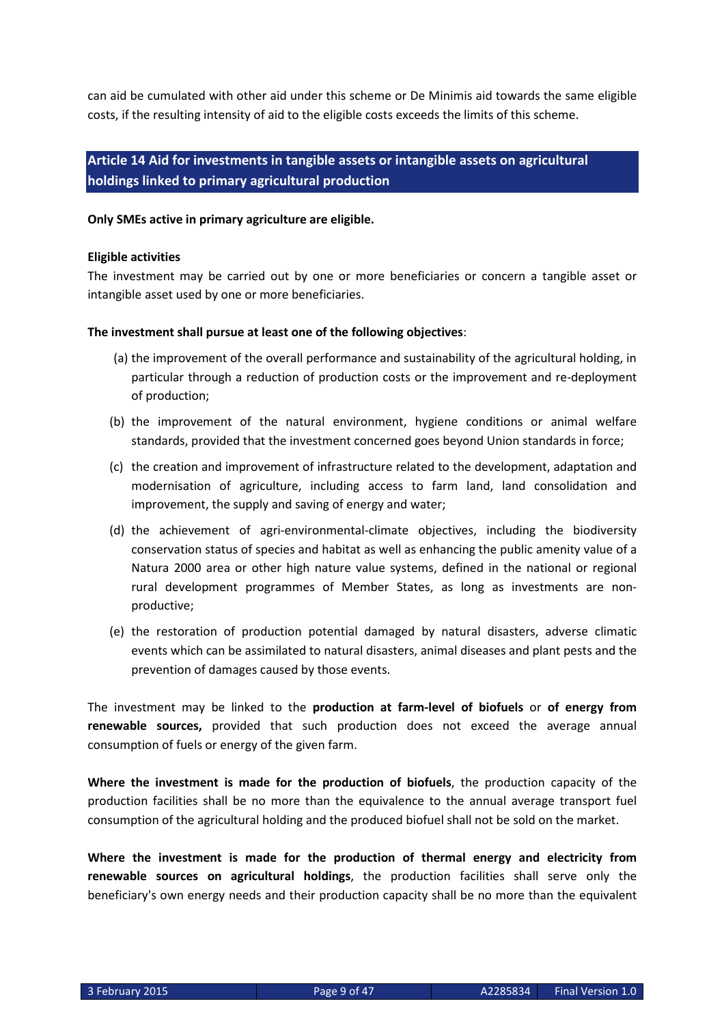can aid be cumulated with other aid under this scheme or De Minimis aid towards the same eligible costs, if the resulting intensity of aid to the eligible costs exceeds the limits of this scheme.

# Article 14 Aid for investments in tangible assets or intangible assets on agricultural holdings linked to primary agricultural production

## Only SMEs active in primary agriculture are eligible.

## Eligible activities

The investment may be carried out by one or more beneficiaries or concern a tangible asset or intangible asset used by one or more beneficiaries.

## The investment shall pursue at least one of the following objectives:

- (a) the improvement of the overall performance and sustainability of the agricultural holding, in particular through a reduction of production costs or the improvement and re-deployment of production;
- (b) the improvement of the natural environment, hygiene conditions or animal welfare standards, provided that the investment concerned goes beyond Union standards in force;
- (c) the creation and improvement of infrastructure related to the development, adaptation and modernisation of agriculture, including access to farm land, land consolidation and improvement, the supply and saving of energy and water;
- (d) the achievement of agri-environmental-climate objectives, including the biodiversity conservation status of species and habitat as well as enhancing the public amenity value of a Natura 2000 area or other high nature value systems, defined in the national or regional rural development programmes of Member States, as long as investments are nonproductive;
- (e) the restoration of production potential damaged by natural disasters, adverse climatic events which can be assimilated to natural disasters, animal diseases and plant pests and the prevention of damages caused by those events.

The investment may be linked to the **production at farm-level of biofuels** or of energy from renewable sources, provided that such production does not exceed the average annual consumption of fuels or energy of the given farm.

Where the investment is made for the production of biofuels, the production capacity of the production facilities shall be no more than the equivalence to the annual average transport fuel consumption of the agricultural holding and the produced biofuel shall not be sold on the market.

Where the investment is made for the production of thermal energy and electricity from renewable sources on agricultural holdings, the production facilities shall serve only the beneficiary's own energy needs and their production capacity shall be no more than the equivalent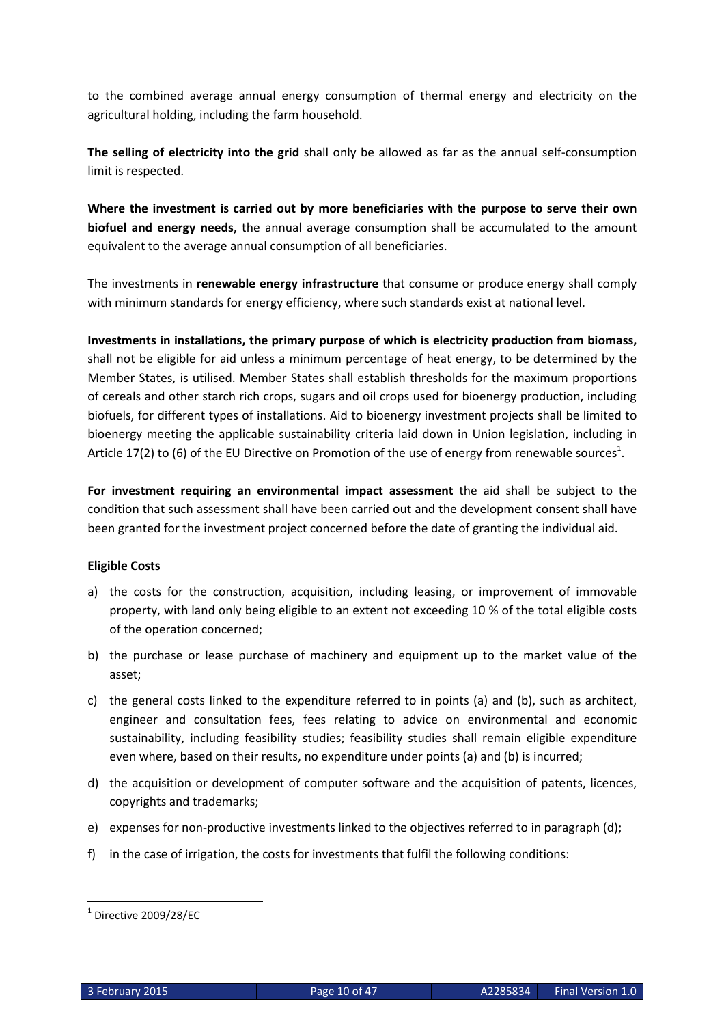to the combined average annual energy consumption of thermal energy and electricity on the agricultural holding, including the farm household.

The selling of electricity into the grid shall only be allowed as far as the annual self-consumption limit is respected.

Where the investment is carried out by more beneficiaries with the purpose to serve their own biofuel and energy needs, the annual average consumption shall be accumulated to the amount equivalent to the average annual consumption of all beneficiaries.

The investments in renewable energy infrastructure that consume or produce energy shall comply with minimum standards for energy efficiency, where such standards exist at national level.

Investments in installations, the primary purpose of which is electricity production from biomass, shall not be eligible for aid unless a minimum percentage of heat energy, to be determined by the Member States, is utilised. Member States shall establish thresholds for the maximum proportions of cereals and other starch rich crops, sugars and oil crops used for bioenergy production, including biofuels, for different types of installations. Aid to bioenergy investment projects shall be limited to bioenergy meeting the applicable sustainability criteria laid down in Union legislation, including in Article 17(2) to (6) of the EU Directive on Promotion of the use of energy from renewable sources<sup>1</sup>.

For investment requiring an environmental impact assessment the aid shall be subject to the condition that such assessment shall have been carried out and the development consent shall have been granted for the investment project concerned before the date of granting the individual aid.

# Eligible Costs

- a) the costs for the construction, acquisition, including leasing, or improvement of immovable property, with land only being eligible to an extent not exceeding 10 % of the total eligible costs of the operation concerned;
- b) the purchase or lease purchase of machinery and equipment up to the market value of the asset;
- c) the general costs linked to the expenditure referred to in points (a) and (b), such as architect, engineer and consultation fees, fees relating to advice on environmental and economic sustainability, including feasibility studies; feasibility studies shall remain eligible expenditure even where, based on their results, no expenditure under points (a) and (b) is incurred;
- d) the acquisition or development of computer software and the acquisition of patents, licences, copyrights and trademarks;
- e) expenses for non-productive investments linked to the objectives referred to in paragraph (d);
- f) in the case of irrigation, the costs for investments that fulfil the following conditions:

 $^1$  Directive 2009/28/EC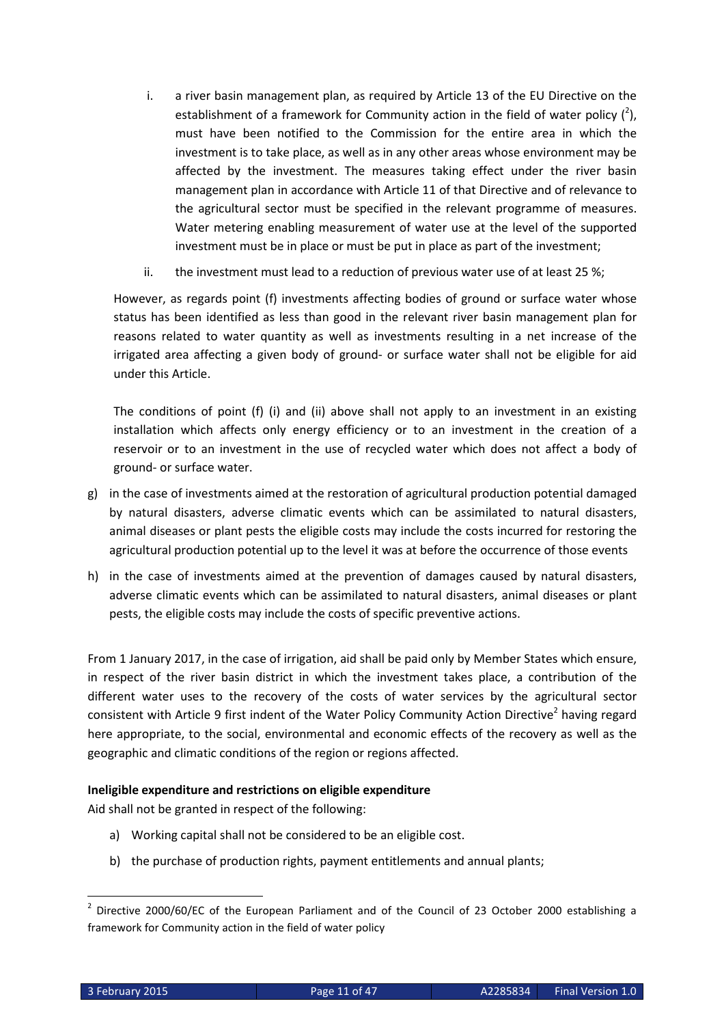- i. a river basin management plan, as required by Article 13 of the EU Directive on the establishment of a framework for Community action in the field of water policy  $(^2)$ , must have been notified to the Commission for the entire area in which the investment is to take place, as well as in any other areas whose environment may be affected by the investment. The measures taking effect under the river basin management plan in accordance with Article 11 of that Directive and of relevance to the agricultural sector must be specified in the relevant programme of measures. Water metering enabling measurement of water use at the level of the supported investment must be in place or must be put in place as part of the investment;
- ii. the investment must lead to a reduction of previous water use of at least 25 %;

However, as regards point (f) investments affecting bodies of ground or surface water whose status has been identified as less than good in the relevant river basin management plan for reasons related to water quantity as well as investments resulting in a net increase of the irrigated area affecting a given body of ground- or surface water shall not be eligible for aid under this Article.

The conditions of point (f) (i) and (ii) above shall not apply to an investment in an existing installation which affects only energy efficiency or to an investment in the creation of a reservoir or to an investment in the use of recycled water which does not affect a body of ground- or surface water.

- g) in the case of investments aimed at the restoration of agricultural production potential damaged by natural disasters, adverse climatic events which can be assimilated to natural disasters, animal diseases or plant pests the eligible costs may include the costs incurred for restoring the agricultural production potential up to the level it was at before the occurrence of those events
- h) in the case of investments aimed at the prevention of damages caused by natural disasters, adverse climatic events which can be assimilated to natural disasters, animal diseases or plant pests, the eligible costs may include the costs of specific preventive actions.

From 1 January 2017, in the case of irrigation, aid shall be paid only by Member States which ensure, in respect of the river basin district in which the investment takes place, a contribution of the different water uses to the recovery of the costs of water services by the agricultural sector consistent with Article 9 first indent of the Water Policy Community Action Directive<sup>2</sup> having regard here appropriate, to the social, environmental and economic effects of the recovery as well as the geographic and climatic conditions of the region or regions affected.

# Ineligible expenditure and restrictions on eligible expenditure

Aid shall not be granted in respect of the following:

- a) Working capital shall not be considered to be an eligible cost.
- b) the purchase of production rights, payment entitlements and annual plants;

 $^2$  Directive 2000/60/EC of the European Parliament and of the Council of 23 October 2000 establishing a framework for Community action in the field of water policy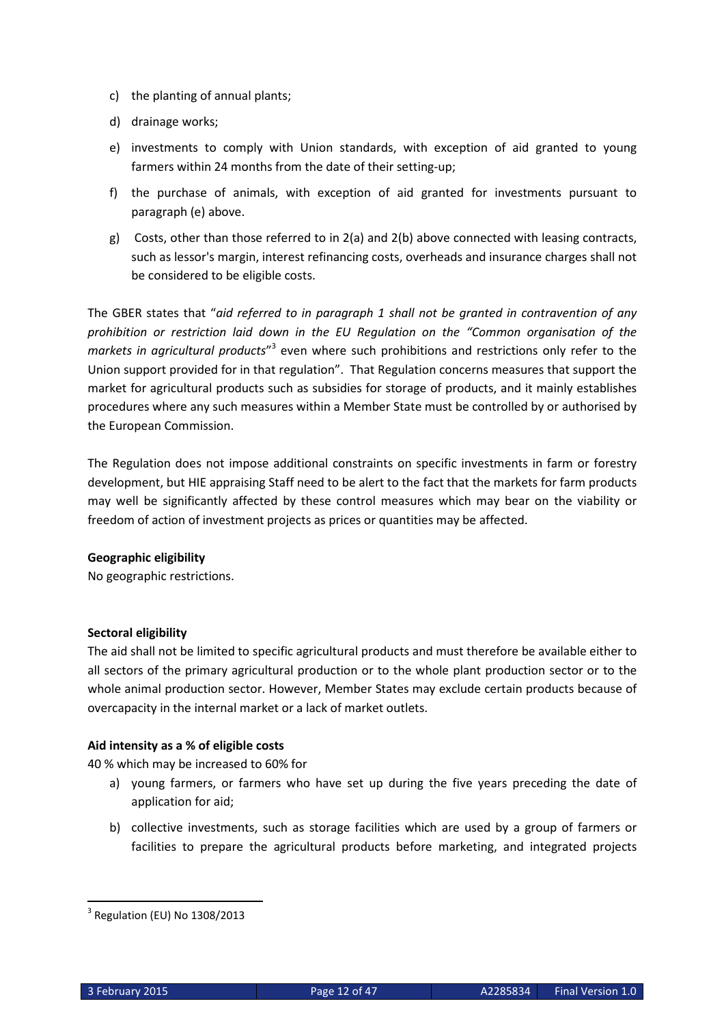- c) the planting of annual plants;
- d) drainage works;
- e) investments to comply with Union standards, with exception of aid granted to young farmers within 24 months from the date of their setting-up;
- f) the purchase of animals, with exception of aid granted for investments pursuant to paragraph (e) above.
- g) Costs, other than those referred to in 2(a) and 2(b) above connected with leasing contracts, such as lessor's margin, interest refinancing costs, overheads and insurance charges shall not be considered to be eligible costs.

The GBER states that "aid referred to in paragraph 1 shall not be granted in contravention of any prohibition or restriction laid down in the EU Regulation on the "Common organisation of the markets in agricultural products"<sup>3</sup> even where such prohibitions and restrictions only refer to the Union support provided for in that regulation". That Regulation concerns measures that support the market for agricultural products such as subsidies for storage of products, and it mainly establishes procedures where any such measures within a Member State must be controlled by or authorised by the European Commission.

The Regulation does not impose additional constraints on specific investments in farm or forestry development, but HIE appraising Staff need to be alert to the fact that the markets for farm products may well be significantly affected by these control measures which may bear on the viability or freedom of action of investment projects as prices or quantities may be affected.

# Geographic eligibility

No geographic restrictions.

# Sectoral eligibility

The aid shall not be limited to specific agricultural products and must therefore be available either to all sectors of the primary agricultural production or to the whole plant production sector or to the whole animal production sector. However, Member States may exclude certain products because of overcapacity in the internal market or a lack of market outlets.

# Aid intensity as a % of eligible costs

40 % which may be increased to 60% for

- a) young farmers, or farmers who have set up during the five years preceding the date of application for aid;
- b) collective investments, such as storage facilities which are used by a group of farmers or facilities to prepare the agricultural products before marketing, and integrated projects

 $3$  Regulation (EU) No 1308/2013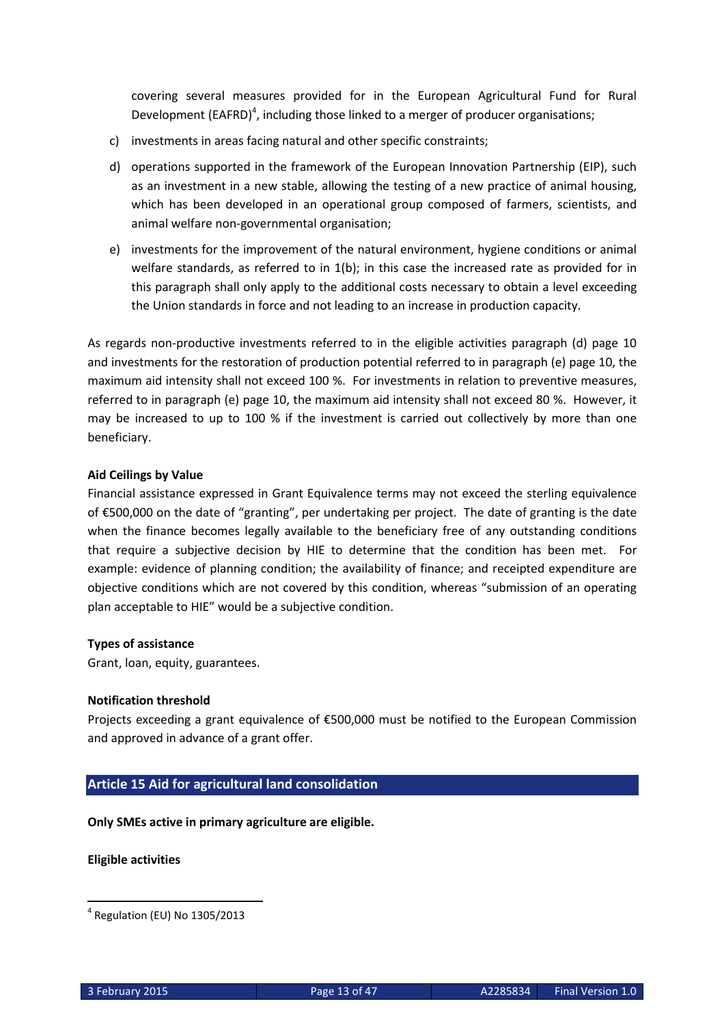covering several measures provided for in the European Agricultural Fund for Rural Development (EAFRD)<sup>4</sup>, including those linked to a merger of producer organisations;

- c) investments in areas facing natural and other specific constraints;
- d) operations supported in the framework of the European Innovation Partnership (EIP), such as an investment in a new stable, allowing the testing of a new practice of animal housing, which has been developed in an operational group composed of farmers, scientists, and animal welfare non-governmental organisation;
- e) investments for the improvement of the natural environment, hygiene conditions or animal welfare standards, as referred to in 1(b); in this case the increased rate as provided for in this paragraph shall only apply to the additional costs necessary to obtain a level exceeding the Union standards in force and not leading to an increase in production capacity.

As regards non-productive investments referred to in the eligible activities paragraph (d) page 10 and investments for the restoration of production potential referred to in paragraph (e) page 10, the maximum aid intensity shall not exceed 100 %. For investments in relation to preventive measures, referred to in paragraph (e) page 10, the maximum aid intensity shall not exceed 80 %. However, it may be increased to up to 100 % if the investment is carried out collectively by more than one beneficiary.

## Aid Ceilings by Value

Financial assistance expressed in Grant Equivalence terms may not exceed the sterling equivalence of €500,000 on the date of "granting", per undertaking per project. The date of granting is the date when the finance becomes legally available to the beneficiary free of any outstanding conditions that require a subjective decision by HIE to determine that the condition has been met. For example: evidence of planning condition; the availability of finance; and receipted expenditure are objective conditions which are not covered by this condition, whereas "submission of an operating plan acceptable to HIE" would be a subjective condition.

## Types of assistance

Grant, loan, equity, guarantees.

## Notification threshold

Projects exceeding a grant equivalence of €500,000 must be notified to the European Commission and approved in advance of a grant offer.

# Article 15 Aid for agricultural land consolidation

Only SMEs active in primary agriculture are eligible.

Eligible activities

 $4$  Regulation (EU) No 1305/2013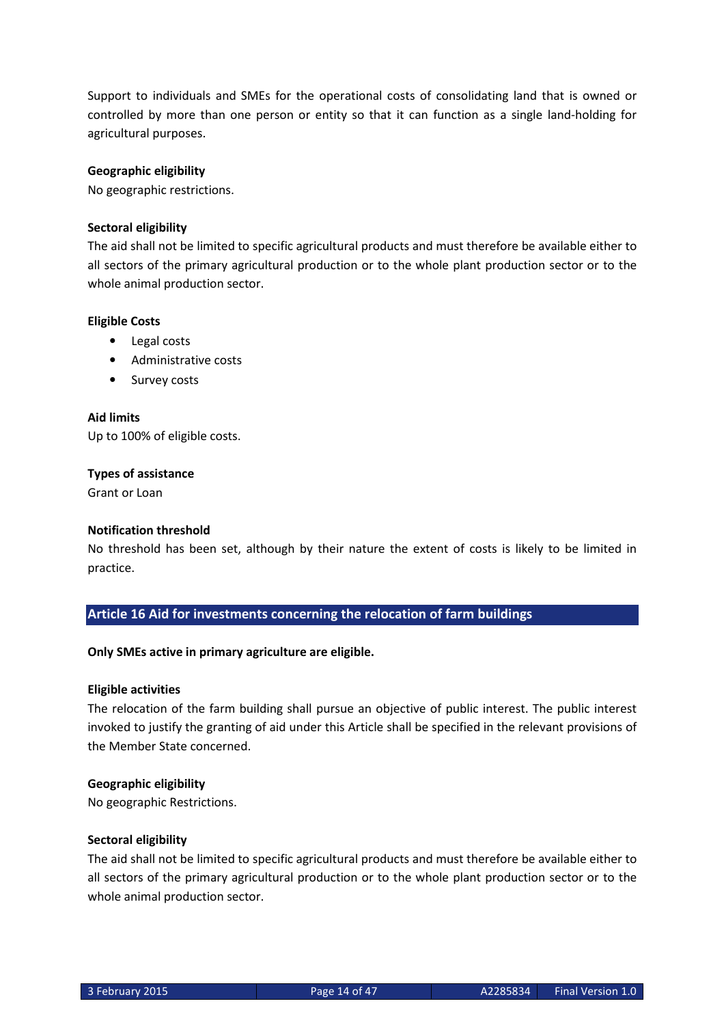Support to individuals and SMEs for the operational costs of consolidating land that is owned or controlled by more than one person or entity so that it can function as a single land-holding for agricultural purposes.

## Geographic eligibility

No geographic restrictions.

## Sectoral eligibility

The aid shall not be limited to specific agricultural products and must therefore be available either to all sectors of the primary agricultural production or to the whole plant production sector or to the whole animal production sector.

## Eligible Costs

- Legal costs
- Administrative costs
- Survey costs

## Aid limits

Up to 100% of eligible costs.

### Types of assistance

Grant or Loan

# Notification threshold

No threshold has been set, although by their nature the extent of costs is likely to be limited in practice.

## Article 16 Aid for investments concerning the relocation of farm buildings

## Only SMEs active in primary agriculture are eligible.

## Eligible activities

The relocation of the farm building shall pursue an objective of public interest. The public interest invoked to justify the granting of aid under this Article shall be specified in the relevant provisions of the Member State concerned.

## Geographic eligibility

No geographic Restrictions.

#### Sectoral eligibility

The aid shall not be limited to specific agricultural products and must therefore be available either to all sectors of the primary agricultural production or to the whole plant production sector or to the whole animal production sector.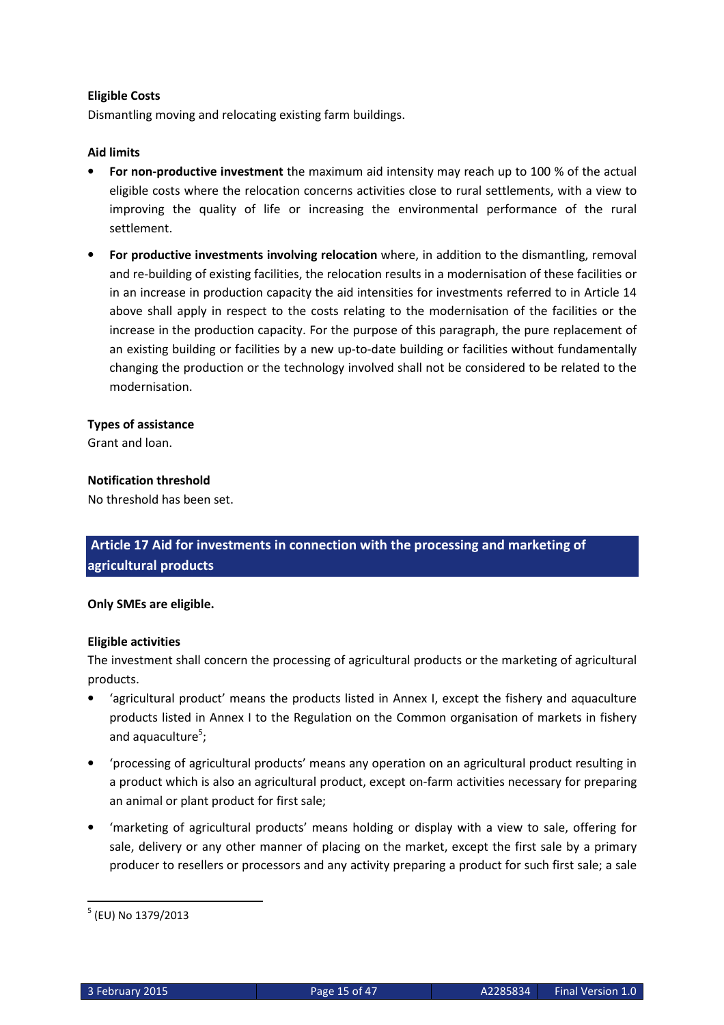# Eligible Costs

Dismantling moving and relocating existing farm buildings.

# Aid limits

- For non-productive investment the maximum aid intensity may reach up to 100 % of the actual eligible costs where the relocation concerns activities close to rural settlements, with a view to improving the quality of life or increasing the environmental performance of the rural settlement.
- For productive investments involving relocation where, in addition to the dismantling, removal and re-building of existing facilities, the relocation results in a modernisation of these facilities or in an increase in production capacity the aid intensities for investments referred to in Article 14 above shall apply in respect to the costs relating to the modernisation of the facilities or the increase in the production capacity. For the purpose of this paragraph, the pure replacement of an existing building or facilities by a new up-to-date building or facilities without fundamentally changing the production or the technology involved shall not be considered to be related to the modernisation.

# Types of assistance

Grant and loan.

# Notification threshold

No threshold has been set.

# Article 17 Aid for investments in connection with the processing and marketing of agricultural products

# Only SMEs are eligible.

# Eligible activities

The investment shall concern the processing of agricultural products or the marketing of agricultural products.

- 'agricultural product' means the products listed in Annex I, except the fishery and aquaculture products listed in Annex I to the Regulation on the Common organisation of markets in fishery and aquaculture<sup>5</sup>;
- 'processing of agricultural products' means any operation on an agricultural product resulting in a product which is also an agricultural product, except on-farm activities necessary for preparing an animal or plant product for first sale;
- 'marketing of agricultural products' means holding or display with a view to sale, offering for sale, delivery or any other manner of placing on the market, except the first sale by a primary producer to resellers or processors and any activity preparing a product for such first sale; a sale

<sup>&</sup>lt;sup>5</sup> (EU) No 1379/2013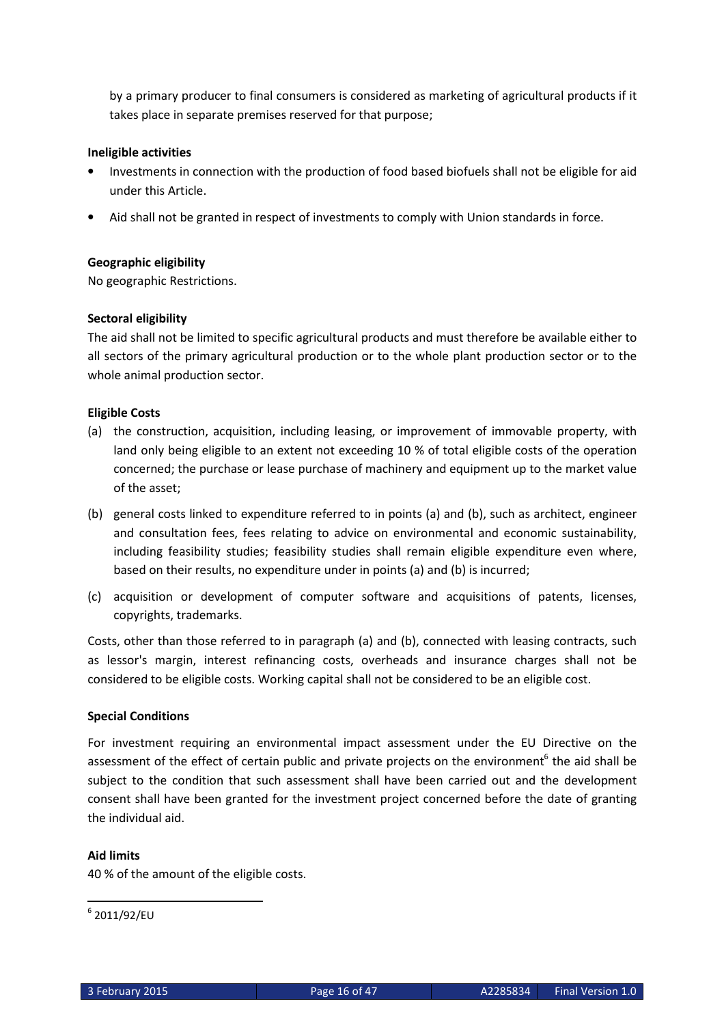by a primary producer to final consumers is considered as marketing of agricultural products if it takes place in separate premises reserved for that purpose;

## Ineligible activities

- Investments in connection with the production of food based biofuels shall not be eligible for aid under this Article.
- Aid shall not be granted in respect of investments to comply with Union standards in force.

# Geographic eligibility

No geographic Restrictions.

# Sectoral eligibility

The aid shall not be limited to specific agricultural products and must therefore be available either to all sectors of the primary agricultural production or to the whole plant production sector or to the whole animal production sector.

# Eligible Costs

- (a) the construction, acquisition, including leasing, or improvement of immovable property, with land only being eligible to an extent not exceeding 10 % of total eligible costs of the operation concerned; the purchase or lease purchase of machinery and equipment up to the market value of the asset;
- (b) general costs linked to expenditure referred to in points (a) and (b), such as architect, engineer and consultation fees, fees relating to advice on environmental and economic sustainability, including feasibility studies; feasibility studies shall remain eligible expenditure even where, based on their results, no expenditure under in points (a) and (b) is incurred;
- (c) acquisition or development of computer software and acquisitions of patents, licenses, copyrights, trademarks.

Costs, other than those referred to in paragraph (a) and (b), connected with leasing contracts, such as lessor's margin, interest refinancing costs, overheads and insurance charges shall not be considered to be eligible costs. Working capital shall not be considered to be an eligible cost.

# Special Conditions

For investment requiring an environmental impact assessment under the EU Directive on the assessment of the effect of certain public and private projects on the environment<sup>6</sup> the aid shall be subject to the condition that such assessment shall have been carried out and the development consent shall have been granted for the investment project concerned before the date of granting the individual aid.

# Aid limits

l

40 % of the amount of the eligible costs.

6 2011/92/EU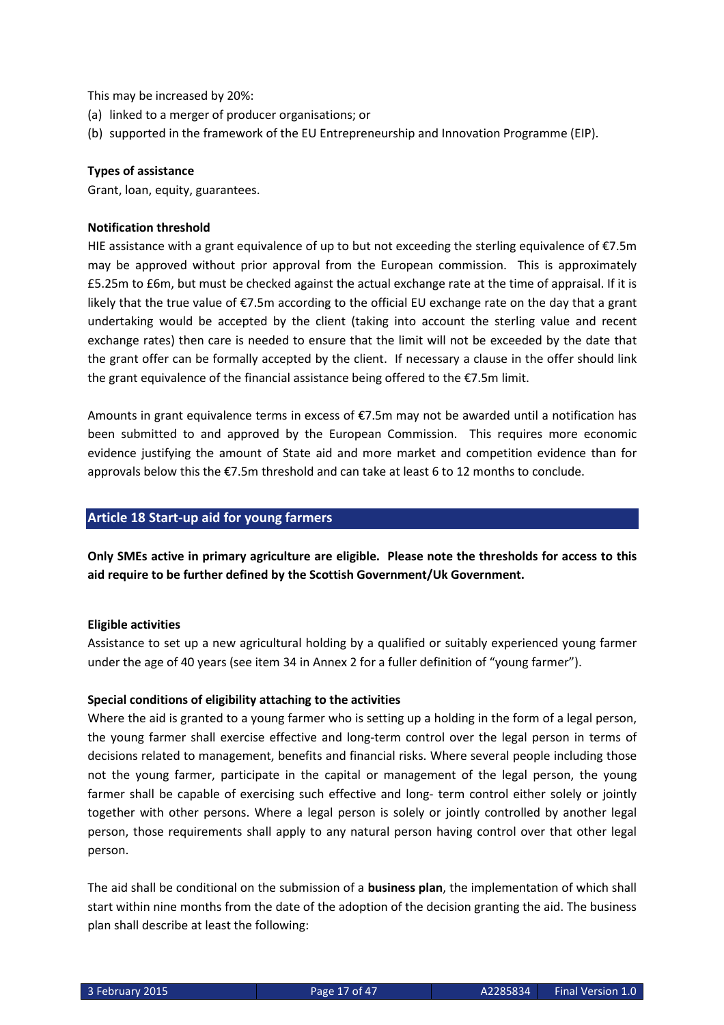This may be increased by 20%:

- (a) linked to a merger of producer organisations; or
- (b) supported in the framework of the EU Entrepreneurship and Innovation Programme (EIP).

## Types of assistance

Grant, loan, equity, guarantees.

## Notification threshold

HIE assistance with a grant equivalence of up to but not exceeding the sterling equivalence of €7.5m may be approved without prior approval from the European commission. This is approximately £5.25m to £6m, but must be checked against the actual exchange rate at the time of appraisal. If it is likely that the true value of €7.5m according to the official EU exchange rate on the day that a grant undertaking would be accepted by the client (taking into account the sterling value and recent exchange rates) then care is needed to ensure that the limit will not be exceeded by the date that the grant offer can be formally accepted by the client. If necessary a clause in the offer should link the grant equivalence of the financial assistance being offered to the €7.5m limit.

Amounts in grant equivalence terms in excess of €7.5m may not be awarded until a notification has been submitted to and approved by the European Commission. This requires more economic evidence justifying the amount of State aid and more market and competition evidence than for approvals below this the €7.5m threshold and can take at least 6 to 12 months to conclude.

# Article 18 Start-up aid for young farmers

Only SMEs active in primary agriculture are eligible. Please note the thresholds for access to this aid require to be further defined by the Scottish Government/Uk Government.

## Eligible activities

Assistance to set up a new agricultural holding by a qualified or suitably experienced young farmer under the age of 40 years (see item 34 in Annex 2 for a fuller definition of "young farmer").

## Special conditions of eligibility attaching to the activities

Where the aid is granted to a young farmer who is setting up a holding in the form of a legal person, the young farmer shall exercise effective and long-term control over the legal person in terms of decisions related to management, benefits and financial risks. Where several people including those not the young farmer, participate in the capital or management of the legal person, the young farmer shall be capable of exercising such effective and long- term control either solely or jointly together with other persons. Where a legal person is solely or jointly controlled by another legal person, those requirements shall apply to any natural person having control over that other legal person.

The aid shall be conditional on the submission of a **business plan**, the implementation of which shall start within nine months from the date of the adoption of the decision granting the aid. The business plan shall describe at least the following: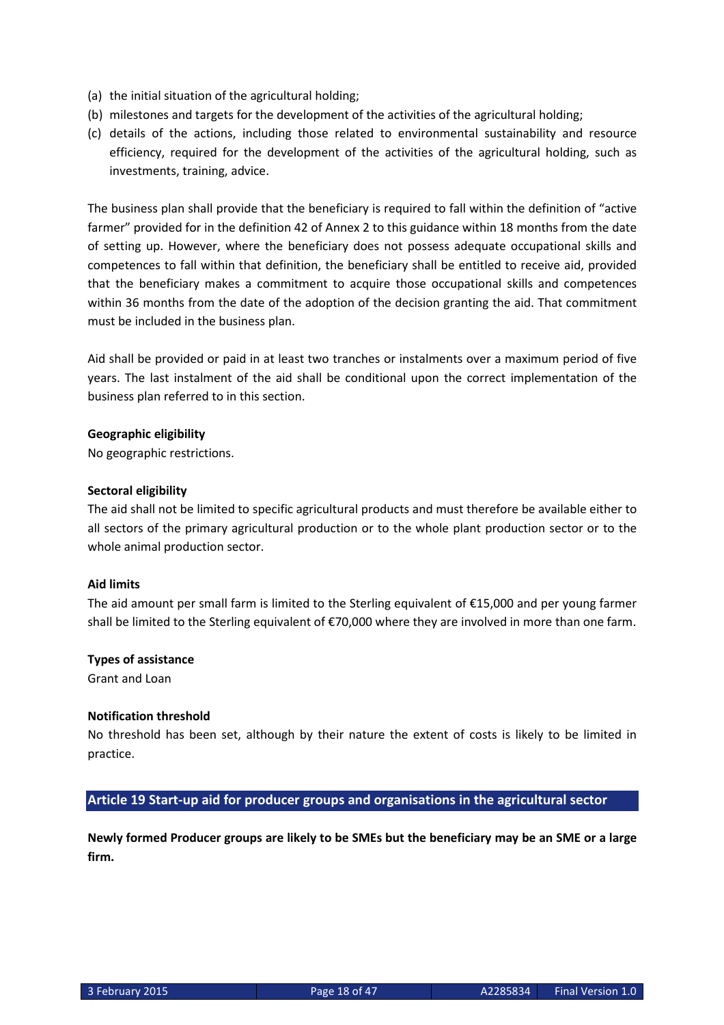- (a) the initial situation of the agricultural holding;
- (b) milestones and targets for the development of the activities of the agricultural holding;
- (c) details of the actions, including those related to environmental sustainability and resource efficiency, required for the development of the activities of the agricultural holding, such as investments, training, advice.

The business plan shall provide that the beneficiary is required to fall within the definition of "active farmer" provided for in the definition 42 of Annex 2 to this guidance within 18 months from the date of setting up. However, where the beneficiary does not possess adequate occupational skills and competences to fall within that definition, the beneficiary shall be entitled to receive aid, provided that the beneficiary makes a commitment to acquire those occupational skills and competences within 36 months from the date of the adoption of the decision granting the aid. That commitment must be included in the business plan.

Aid shall be provided or paid in at least two tranches or instalments over a maximum period of five years. The last instalment of the aid shall be conditional upon the correct implementation of the business plan referred to in this section.

## Geographic eligibility

No geographic restrictions.

## Sectoral eligibility

The aid shall not be limited to specific agricultural products and must therefore be available either to all sectors of the primary agricultural production or to the whole plant production sector or to the whole animal production sector.

## Aid limits

The aid amount per small farm is limited to the Sterling equivalent of €15,000 and per young farmer shall be limited to the Sterling equivalent of €70,000 where they are involved in more than one farm.

## Types of assistance

Grant and Loan

## Notification threshold

No threshold has been set, although by their nature the extent of costs is likely to be limited in practice.

Article 19 Start-up aid for producer groups and organisations in the agricultural sector

Newly formed Producer groups are likely to be SMEs but the beneficiary may be an SME or a large firm.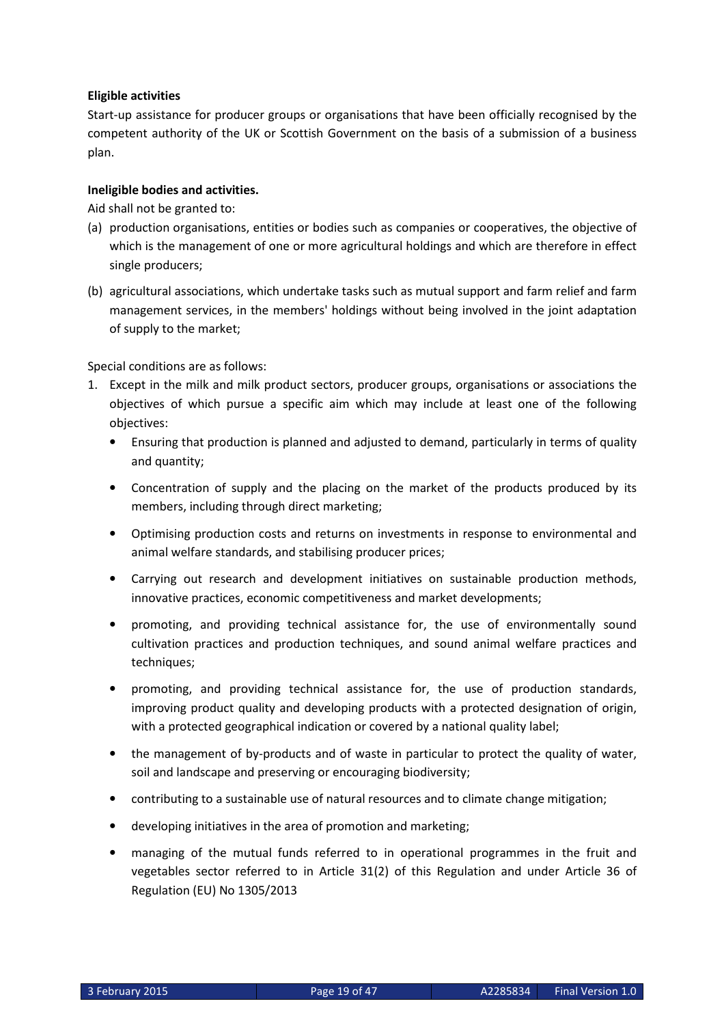# Eligible activities

Start-up assistance for producer groups or organisations that have been officially recognised by the competent authority of the UK or Scottish Government on the basis of a submission of a business plan.

# Ineligible bodies and activities.

Aid shall not be granted to:

- (a) production organisations, entities or bodies such as companies or cooperatives, the objective of which is the management of one or more agricultural holdings and which are therefore in effect single producers;
- (b) agricultural associations, which undertake tasks such as mutual support and farm relief and farm management services, in the members' holdings without being involved in the joint adaptation of supply to the market;

Special conditions are as follows:

- 1. Except in the milk and milk product sectors, producer groups, organisations or associations the objectives of which pursue a specific aim which may include at least one of the following objectives:
	- Ensuring that production is planned and adjusted to demand, particularly in terms of quality and quantity;
	- Concentration of supply and the placing on the market of the products produced by its members, including through direct marketing;
	- Optimising production costs and returns on investments in response to environmental and animal welfare standards, and stabilising producer prices;
	- Carrying out research and development initiatives on sustainable production methods, innovative practices, economic competitiveness and market developments;
	- promoting, and providing technical assistance for, the use of environmentally sound cultivation practices and production techniques, and sound animal welfare practices and techniques:
	- promoting, and providing technical assistance for, the use of production standards, improving product quality and developing products with a protected designation of origin, with a protected geographical indication or covered by a national quality label;
	- the management of by-products and of waste in particular to protect the quality of water, soil and landscape and preserving or encouraging biodiversity;
	- contributing to a sustainable use of natural resources and to climate change mitigation;
	- developing initiatives in the area of promotion and marketing;
	- managing of the mutual funds referred to in operational programmes in the fruit and vegetables sector referred to in Article 31(2) of this Regulation and under Article 36 of Regulation (EU) No 1305/2013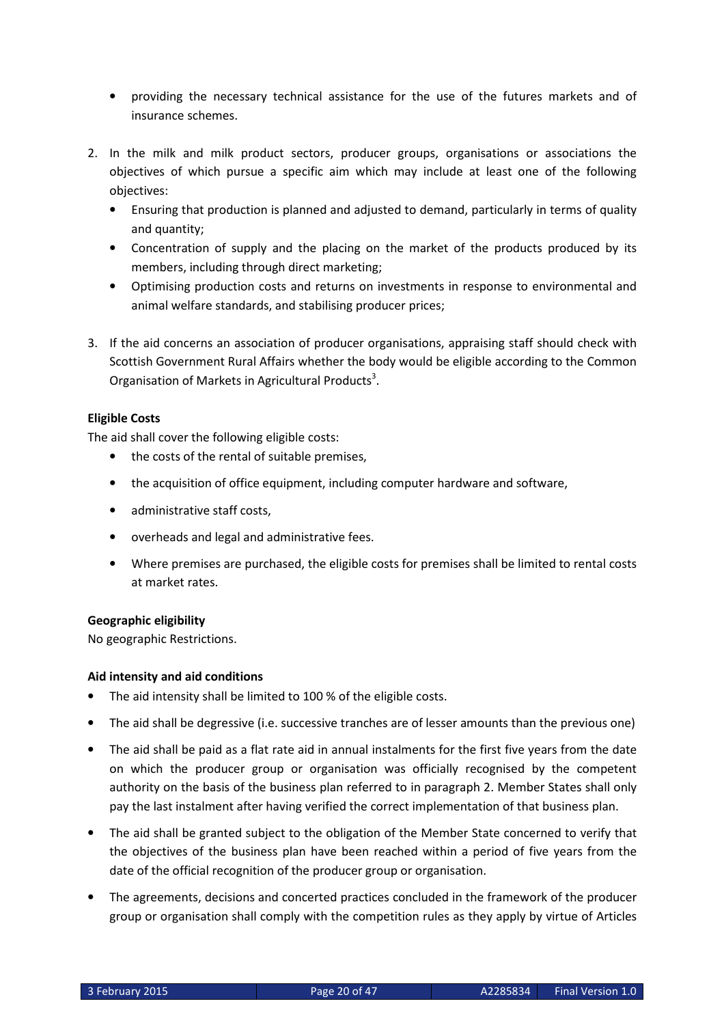- providing the necessary technical assistance for the use of the futures markets and of insurance schemes.
- 2. In the milk and milk product sectors, producer groups, organisations or associations the objectives of which pursue a specific aim which may include at least one of the following objectives:
	- Ensuring that production is planned and adjusted to demand, particularly in terms of quality and quantity;
	- Concentration of supply and the placing on the market of the products produced by its members, including through direct marketing;
	- Optimising production costs and returns on investments in response to environmental and animal welfare standards, and stabilising producer prices;
- 3. If the aid concerns an association of producer organisations, appraising staff should check with Scottish Government Rural Affairs whether the body would be eligible according to the Common Organisation of Markets in Agricultural Products<sup>3</sup>.

# Eligible Costs

The aid shall cover the following eligible costs:

- the costs of the rental of suitable premises,
- the acquisition of office equipment, including computer hardware and software,
- administrative staff costs,
- overheads and legal and administrative fees.
- Where premises are purchased, the eligible costs for premises shall be limited to rental costs at market rates.

# Geographic eligibility

No geographic Restrictions.

# Aid intensity and aid conditions

- The aid intensity shall be limited to 100 % of the eligible costs.
- The aid shall be degressive (i.e. successive tranches are of lesser amounts than the previous one)
- The aid shall be paid as a flat rate aid in annual instalments for the first five years from the date on which the producer group or organisation was officially recognised by the competent authority on the basis of the business plan referred to in paragraph 2. Member States shall only pay the last instalment after having verified the correct implementation of that business plan.
- The aid shall be granted subject to the obligation of the Member State concerned to verify that the objectives of the business plan have been reached within a period of five years from the date of the official recognition of the producer group or organisation.
- The agreements, decisions and concerted practices concluded in the framework of the producer group or organisation shall comply with the competition rules as they apply by virtue of Articles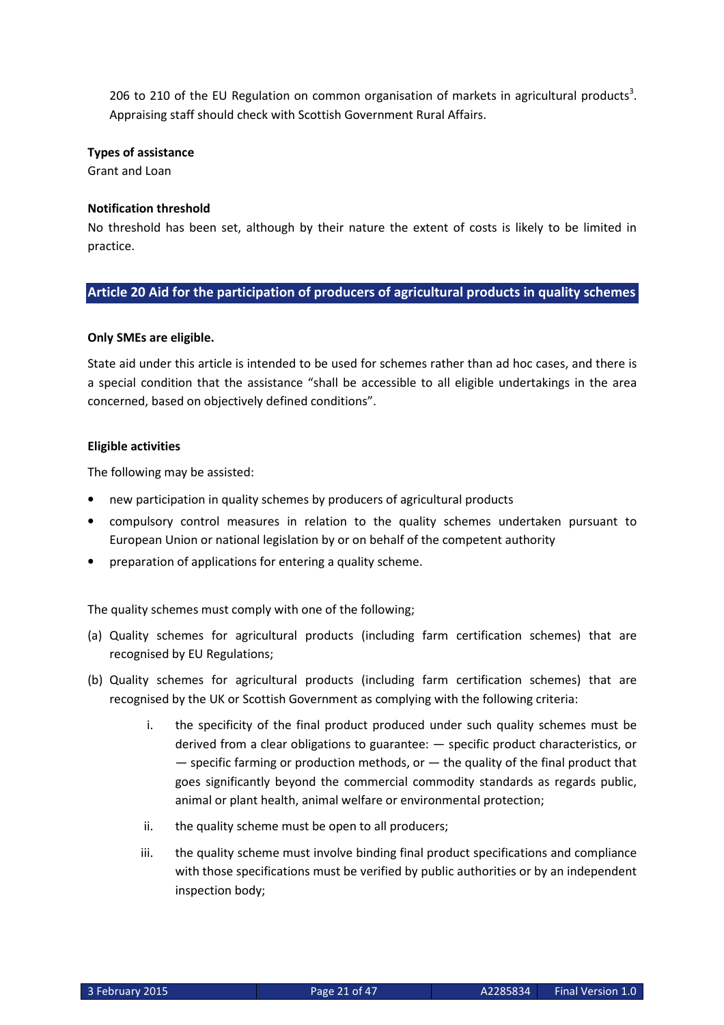206 to 210 of the EU Regulation on common organisation of markets in agricultural products<sup>3</sup>. Appraising staff should check with Scottish Government Rural Affairs.

## Types of assistance

Grant and Loan

## Notification threshold

No threshold has been set, although by their nature the extent of costs is likely to be limited in practice.

# Article 20 Aid for the participation of producers of agricultural products in quality schemes

## Only SMEs are eligible.

State aid under this article is intended to be used for schemes rather than ad hoc cases, and there is a special condition that the assistance "shall be accessible to all eligible undertakings in the area concerned, based on objectively defined conditions".

## Eligible activities

The following may be assisted:

- new participation in quality schemes by producers of agricultural products
- compulsory control measures in relation to the quality schemes undertaken pursuant to European Union or national legislation by or on behalf of the competent authority
- preparation of applications for entering a quality scheme.

The quality schemes must comply with one of the following;

- (a) Quality schemes for agricultural products (including farm certification schemes) that are recognised by EU Regulations;
- (b) Quality schemes for agricultural products (including farm certification schemes) that are recognised by the UK or Scottish Government as complying with the following criteria:
	- i. the specificity of the final product produced under such quality schemes must be derived from a clear obligations to guarantee: — specific product characteristics, or  $-$  specific farming or production methods, or  $-$  the quality of the final product that goes significantly beyond the commercial commodity standards as regards public, animal or plant health, animal welfare or environmental protection;
	- ii. the quality scheme must be open to all producers;
	- iii. the quality scheme must involve binding final product specifications and compliance with those specifications must be verified by public authorities or by an independent inspection body;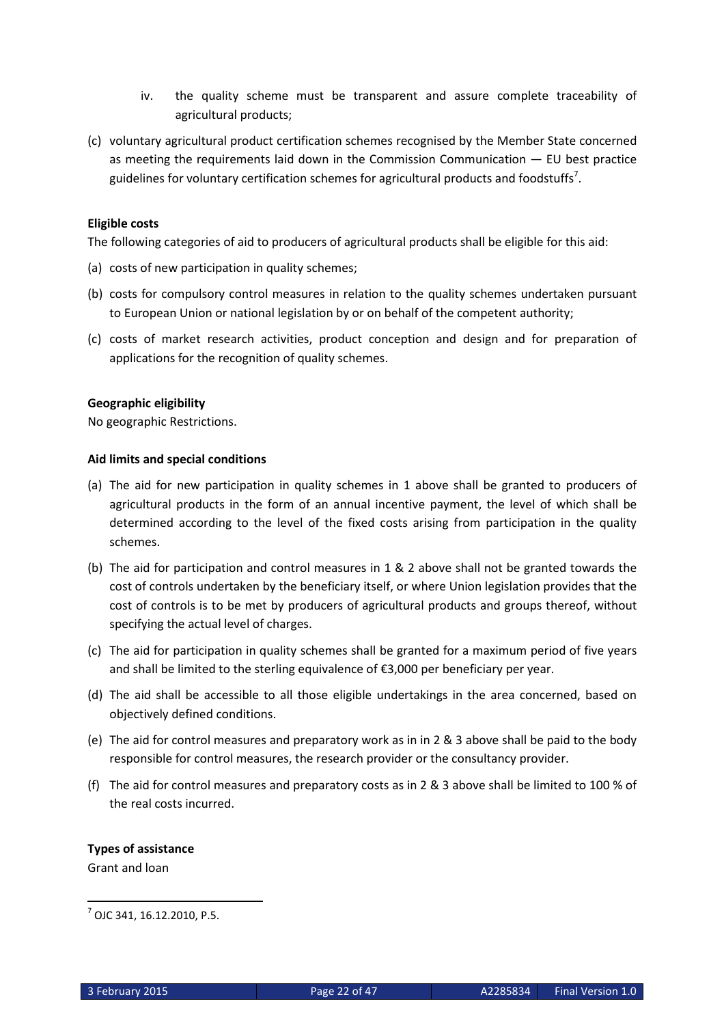- iv. the quality scheme must be transparent and assure complete traceability of agricultural products;
- (c) voluntary agricultural product certification schemes recognised by the Member State concerned as meeting the requirements laid down in the Commission Communication  $-$  EU best practice guidelines for voluntary certification schemes for agricultural products and foodstuffs<sup>7</sup>.

# Eligible costs

The following categories of aid to producers of agricultural products shall be eligible for this aid:

- (a) costs of new participation in quality schemes;
- (b) costs for compulsory control measures in relation to the quality schemes undertaken pursuant to European Union or national legislation by or on behalf of the competent authority;
- (c) costs of market research activities, product conception and design and for preparation of applications for the recognition of quality schemes.

# Geographic eligibility

No geographic Restrictions.

# Aid limits and special conditions

- (a) The aid for new participation in quality schemes in 1 above shall be granted to producers of agricultural products in the form of an annual incentive payment, the level of which shall be determined according to the level of the fixed costs arising from participation in the quality schemes.
- (b) The aid for participation and control measures in 1 & 2 above shall not be granted towards the cost of controls undertaken by the beneficiary itself, or where Union legislation provides that the cost of controls is to be met by producers of agricultural products and groups thereof, without specifying the actual level of charges.
- (c) The aid for participation in quality schemes shall be granted for a maximum period of five years and shall be limited to the sterling equivalence of  $\epsilon$ 3,000 per beneficiary per year.
- (d) The aid shall be accessible to all those eligible undertakings in the area concerned, based on objectively defined conditions.
- (e) The aid for control measures and preparatory work as in in 2 & 3 above shall be paid to the body responsible for control measures, the research provider or the consultancy provider.
- (f) The aid for control measures and preparatory costs as in 2 & 3 above shall be limited to 100 % of the real costs incurred.

Types of assistance Grant and loan

 $<sup>7</sup>$  OJC 341, 16.12.2010, P.5.</sup>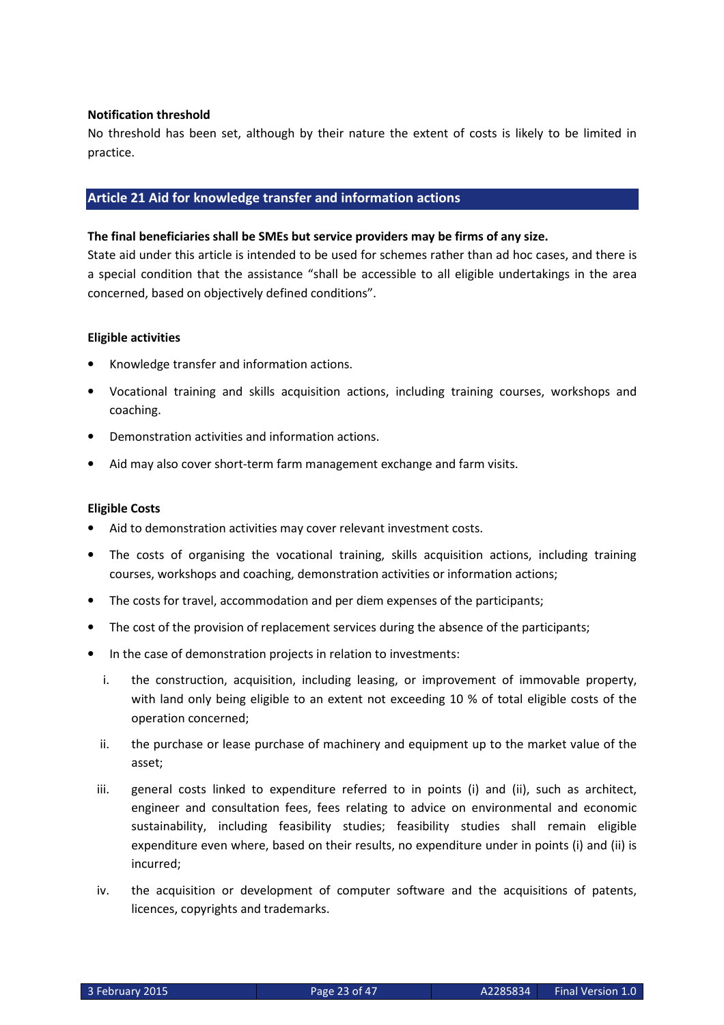# Notification threshold

No threshold has been set, although by their nature the extent of costs is likely to be limited in practice.

## Article 21 Aid for knowledge transfer and information actions

## The final beneficiaries shall be SMEs but service providers may be firms of any size.

State aid under this article is intended to be used for schemes rather than ad hoc cases, and there is a special condition that the assistance "shall be accessible to all eligible undertakings in the area concerned, based on objectively defined conditions".

## Eligible activities

- Knowledge transfer and information actions.
- Vocational training and skills acquisition actions, including training courses, workshops and coaching.
- Demonstration activities and information actions.
- Aid may also cover short-term farm management exchange and farm visits.

## Eligible Costs

- Aid to demonstration activities may cover relevant investment costs.
- The costs of organising the vocational training, skills acquisition actions, including training courses, workshops and coaching, demonstration activities or information actions;
- The costs for travel, accommodation and per diem expenses of the participants;
- The cost of the provision of replacement services during the absence of the participants;
- In the case of demonstration projects in relation to investments:
	- i. the construction, acquisition, including leasing, or improvement of immovable property, with land only being eligible to an extent not exceeding 10 % of total eligible costs of the operation concerned;
	- ii. the purchase or lease purchase of machinery and equipment up to the market value of the asset;
	- iii. general costs linked to expenditure referred to in points (i) and (ii), such as architect, engineer and consultation fees, fees relating to advice on environmental and economic sustainability, including feasibility studies; feasibility studies shall remain eligible expenditure even where, based on their results, no expenditure under in points (i) and (ii) is incurred;
	- iv. the acquisition or development of computer software and the acquisitions of patents, licences, copyrights and trademarks.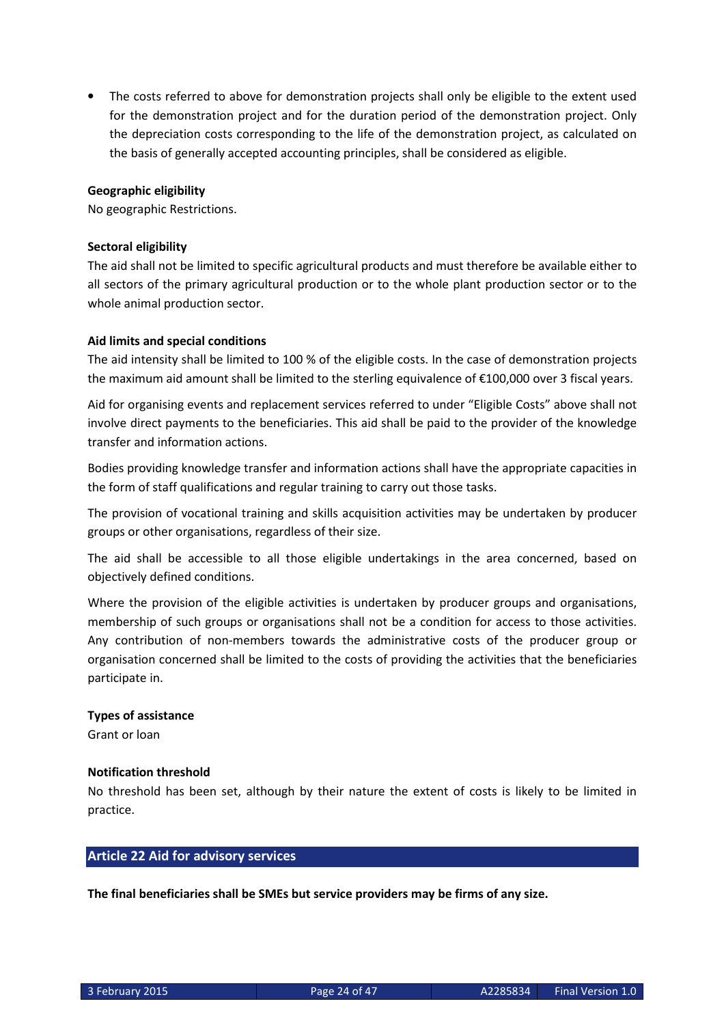• The costs referred to above for demonstration projects shall only be eligible to the extent used for the demonstration project and for the duration period of the demonstration project. Only the depreciation costs corresponding to the life of the demonstration project, as calculated on the basis of generally accepted accounting principles, shall be considered as eligible.

## Geographic eligibility

No geographic Restrictions.

## Sectoral eligibility

The aid shall not be limited to specific agricultural products and must therefore be available either to all sectors of the primary agricultural production or to the whole plant production sector or to the whole animal production sector.

## Aid limits and special conditions

The aid intensity shall be limited to 100 % of the eligible costs. In the case of demonstration projects the maximum aid amount shall be limited to the sterling equivalence of €100,000 over 3 fiscal years.

Aid for organising events and replacement services referred to under "Eligible Costs" above shall not involve direct payments to the beneficiaries. This aid shall be paid to the provider of the knowledge transfer and information actions.

Bodies providing knowledge transfer and information actions shall have the appropriate capacities in the form of staff qualifications and regular training to carry out those tasks.

The provision of vocational training and skills acquisition activities may be undertaken by producer groups or other organisations, regardless of their size.

The aid shall be accessible to all those eligible undertakings in the area concerned, based on objectively defined conditions.

Where the provision of the eligible activities is undertaken by producer groups and organisations, membership of such groups or organisations shall not be a condition for access to those activities. Any contribution of non-members towards the administrative costs of the producer group or organisation concerned shall be limited to the costs of providing the activities that the beneficiaries participate in.

## Types of assistance

Grant or loan

## Notification threshold

No threshold has been set, although by their nature the extent of costs is likely to be limited in practice.

# Article 22 Aid for advisory services

The final beneficiaries shall be SMEs but service providers may be firms of any size.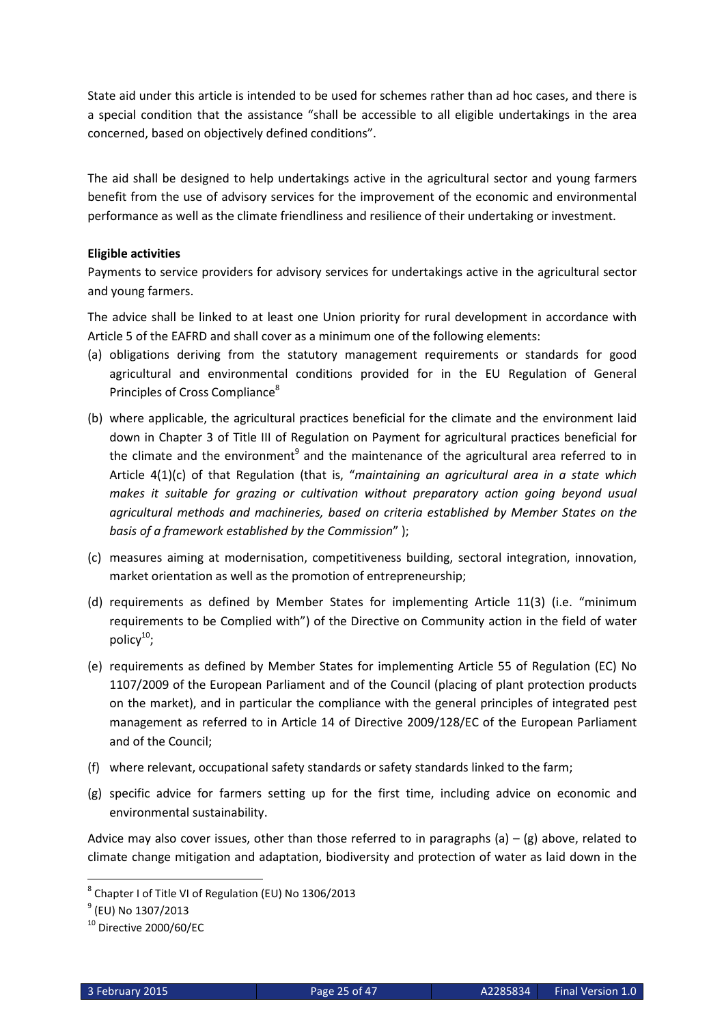State aid under this article is intended to be used for schemes rather than ad hoc cases, and there is a special condition that the assistance "shall be accessible to all eligible undertakings in the area concerned, based on objectively defined conditions".

The aid shall be designed to help undertakings active in the agricultural sector and young farmers benefit from the use of advisory services for the improvement of the economic and environmental performance as well as the climate friendliness and resilience of their undertaking or investment.

# Eligible activities

Payments to service providers for advisory services for undertakings active in the agricultural sector and young farmers.

The advice shall be linked to at least one Union priority for rural development in accordance with Article 5 of the EAFRD and shall cover as a minimum one of the following elements:

- (a) obligations deriving from the statutory management requirements or standards for good agricultural and environmental conditions provided for in the EU Regulation of General Principles of Cross Compliance<sup>8</sup>
- (b) where applicable, the agricultural practices beneficial for the climate and the environment laid down in Chapter 3 of Title III of Regulation on Payment for agricultural practices beneficial for the climate and the environment<sup>9</sup> and the maintenance of the agricultural area referred to in Article  $4(1)(c)$  of that Regulation (that is, "maintaining an agricultural area in a state which makes it suitable for grazing or cultivation without preparatory action going beyond usual agricultural methods and machineries, based on criteria established by Member States on the basis of a framework established by the Commission" );
- (c) measures aiming at modernisation, competitiveness building, sectoral integration, innovation, market orientation as well as the promotion of entrepreneurship;
- (d) requirements as defined by Member States for implementing Article 11(3) (i.e. "minimum requirements to be Complied with") of the Directive on Community action in the field of water policy<sup>10</sup>;
- (e) requirements as defined by Member States for implementing Article 55 of Regulation (EC) No 1107/2009 of the European Parliament and of the Council (placing of plant protection products on the market), and in particular the compliance with the general principles of integrated pest management as referred to in Article 14 of Directive 2009/128/EC of the European Parliament and of the Council;
- (f) where relevant, occupational safety standards or safety standards linked to the farm;
- (g) specific advice for farmers setting up for the first time, including advice on economic and environmental sustainability.

Advice may also cover issues, other than those referred to in paragraphs (a) – (g) above, related to climate change mitigation and adaptation, biodiversity and protection of water as laid down in the

 $\overline{\phantom{0}}$ 

 $^8$  Chapter I of Title VI of Regulation (EU) No 1306/2013

 $^{9}$  (EU) No 1307/2013

 $10$  Directive 2000/60/EC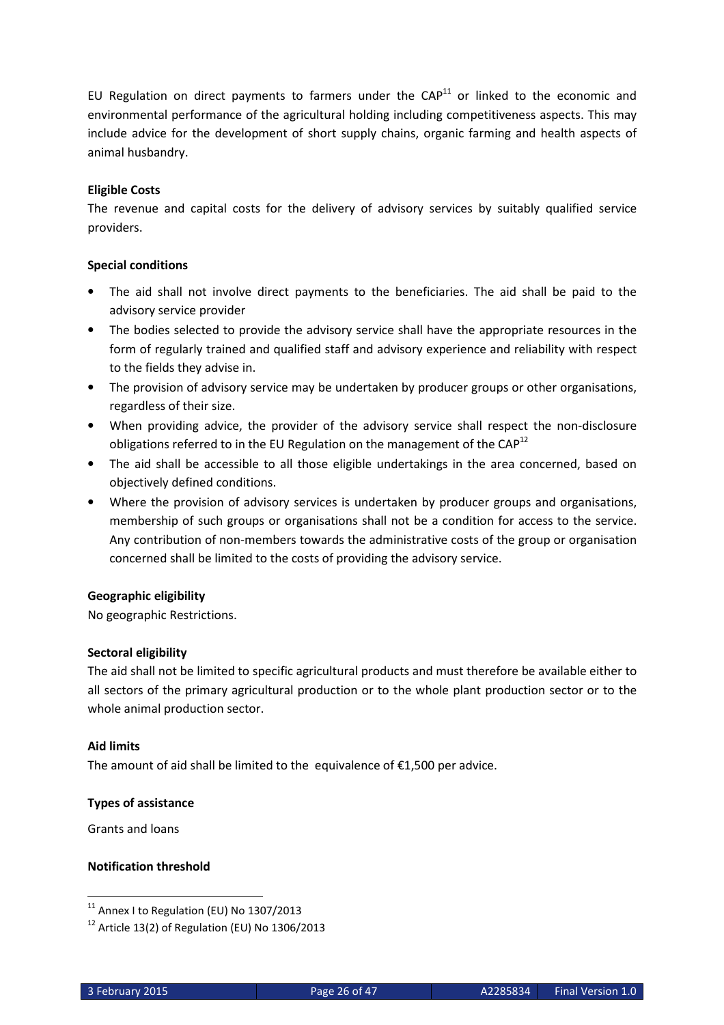EU Regulation on direct payments to farmers under the  $CAP<sup>11</sup>$  or linked to the economic and environmental performance of the agricultural holding including competitiveness aspects. This may include advice for the development of short supply chains, organic farming and health aspects of animal husbandry.

# Eligible Costs

The revenue and capital costs for the delivery of advisory services by suitably qualified service providers.

# Special conditions

- The aid shall not involve direct payments to the beneficiaries. The aid shall be paid to the advisory service provider
- The bodies selected to provide the advisory service shall have the appropriate resources in the form of regularly trained and qualified staff and advisory experience and reliability with respect to the fields they advise in.
- The provision of advisory service may be undertaken by producer groups or other organisations, regardless of their size.
- When providing advice, the provider of the advisory service shall respect the non-disclosure obligations referred to in the EU Regulation on the management of the  $CAP^{12}$
- The aid shall be accessible to all those eligible undertakings in the area concerned, based on objectively defined conditions.
- Where the provision of advisory services is undertaken by producer groups and organisations, membership of such groups or organisations shall not be a condition for access to the service. Any contribution of non-members towards the administrative costs of the group or organisation concerned shall be limited to the costs of providing the advisory service.

# Geographic eligibility

No geographic Restrictions.

# Sectoral eligibility

The aid shall not be limited to specific agricultural products and must therefore be available either to all sectors of the primary agricultural production or to the whole plant production sector or to the whole animal production sector.

# Aid limits

l

The amount of aid shall be limited to the equivalence of  $£1,500$  per advice.

# Types of assistance

Grants and loans

# Notification threshold

<sup>&</sup>lt;sup>11</sup> Annex I to Regulation (EU) No 1307/2013

 $12$  Article 13(2) of Regulation (EU) No 1306/2013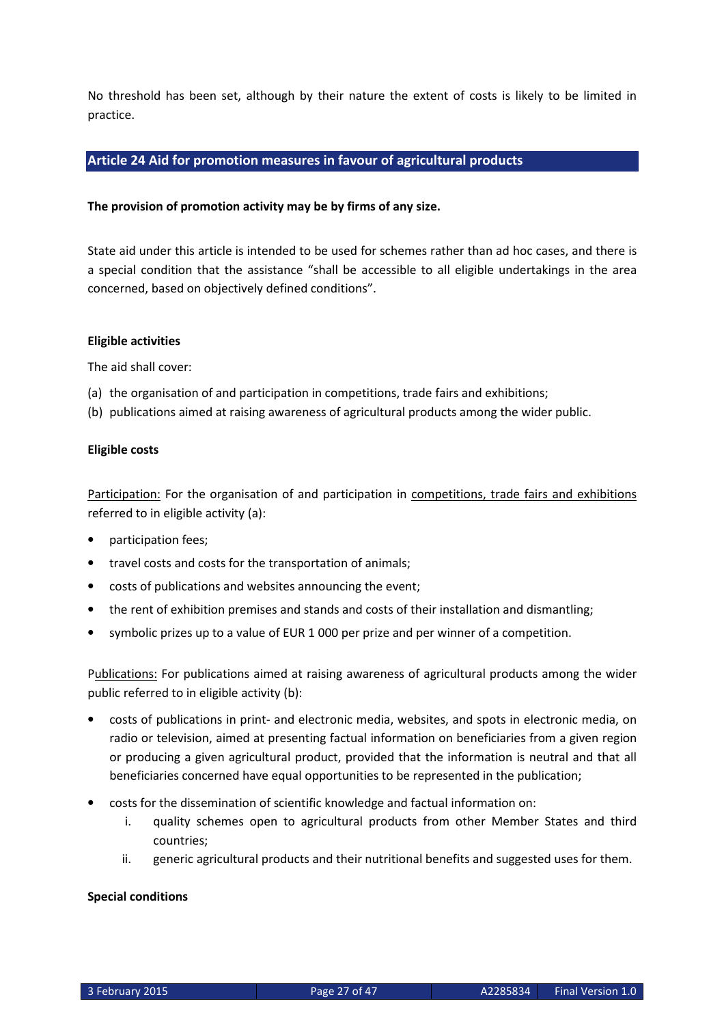No threshold has been set, although by their nature the extent of costs is likely to be limited in practice.

## Article 24 Aid for promotion measures in favour of agricultural products

## The provision of promotion activity may be by firms of any size.

State aid under this article is intended to be used for schemes rather than ad hoc cases, and there is a special condition that the assistance "shall be accessible to all eligible undertakings in the area concerned, based on objectively defined conditions".

#### Eligible activities

The aid shall cover:

- (a) the organisation of and participation in competitions, trade fairs and exhibitions;
- (b) publications aimed at raising awareness of agricultural products among the wider public.

### Eligible costs

Participation: For the organisation of and participation in competitions, trade fairs and exhibitions referred to in eligible activity (a):

- participation fees;
- travel costs and costs for the transportation of animals;
- costs of publications and websites announcing the event;
- the rent of exhibition premises and stands and costs of their installation and dismantling;
- symbolic prizes up to a value of EUR 1 000 per prize and per winner of a competition.

Publications: For publications aimed at raising awareness of agricultural products among the wider public referred to in eligible activity (b):

- costs of publications in print- and electronic media, websites, and spots in electronic media, on radio or television, aimed at presenting factual information on beneficiaries from a given region or producing a given agricultural product, provided that the information is neutral and that all beneficiaries concerned have equal opportunities to be represented in the publication;
- costs for the dissemination of scientific knowledge and factual information on:
	- i. quality schemes open to agricultural products from other Member States and third countries;
	- ii. generic agricultural products and their nutritional benefits and suggested uses for them.

#### Special conditions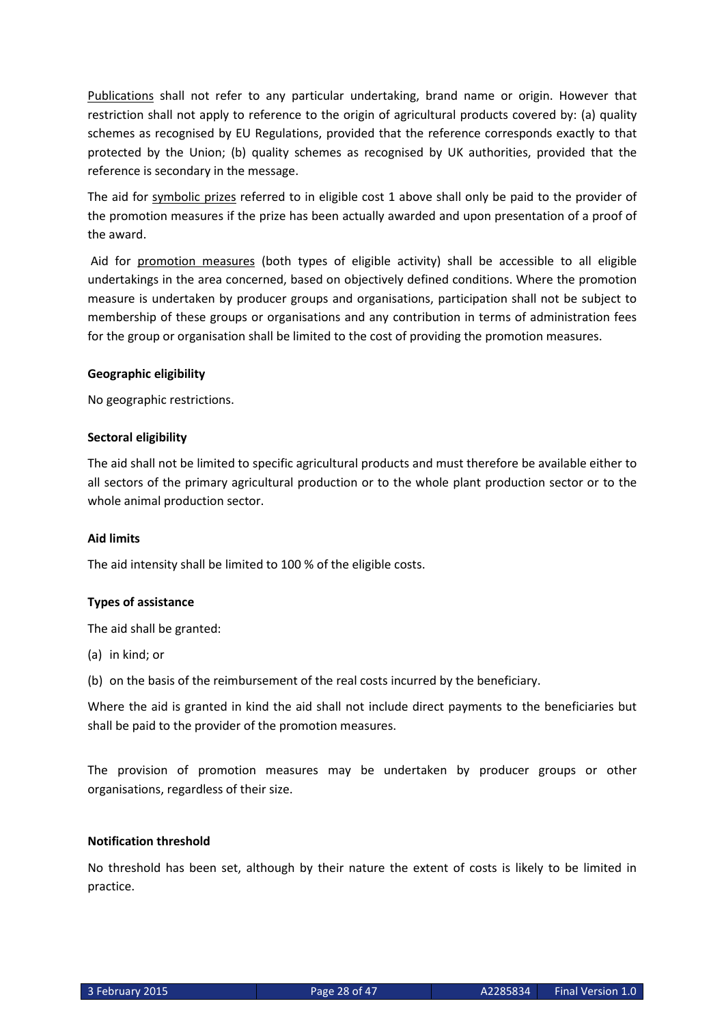Publications shall not refer to any particular undertaking, brand name or origin. However that restriction shall not apply to reference to the origin of agricultural products covered by: (a) quality schemes as recognised by EU Regulations, provided that the reference corresponds exactly to that protected by the Union; (b) quality schemes as recognised by UK authorities, provided that the reference is secondary in the message.

The aid for symbolic prizes referred to in eligible cost 1 above shall only be paid to the provider of the promotion measures if the prize has been actually awarded and upon presentation of a proof of the award.

 Aid for promotion measures (both types of eligible activity) shall be accessible to all eligible undertakings in the area concerned, based on objectively defined conditions. Where the promotion measure is undertaken by producer groups and organisations, participation shall not be subject to membership of these groups or organisations and any contribution in terms of administration fees for the group or organisation shall be limited to the cost of providing the promotion measures.

# Geographic eligibility

No geographic restrictions.

# Sectoral eligibility

The aid shall not be limited to specific agricultural products and must therefore be available either to all sectors of the primary agricultural production or to the whole plant production sector or to the whole animal production sector.

# Aid limits

The aid intensity shall be limited to 100 % of the eligible costs.

# Types of assistance

The aid shall be granted:

- (a) in kind; or
- (b) on the basis of the reimbursement of the real costs incurred by the beneficiary.

Where the aid is granted in kind the aid shall not include direct payments to the beneficiaries but shall be paid to the provider of the promotion measures.

The provision of promotion measures may be undertaken by producer groups or other organisations, regardless of their size.

# Notification threshold

No threshold has been set, although by their nature the extent of costs is likely to be limited in practice.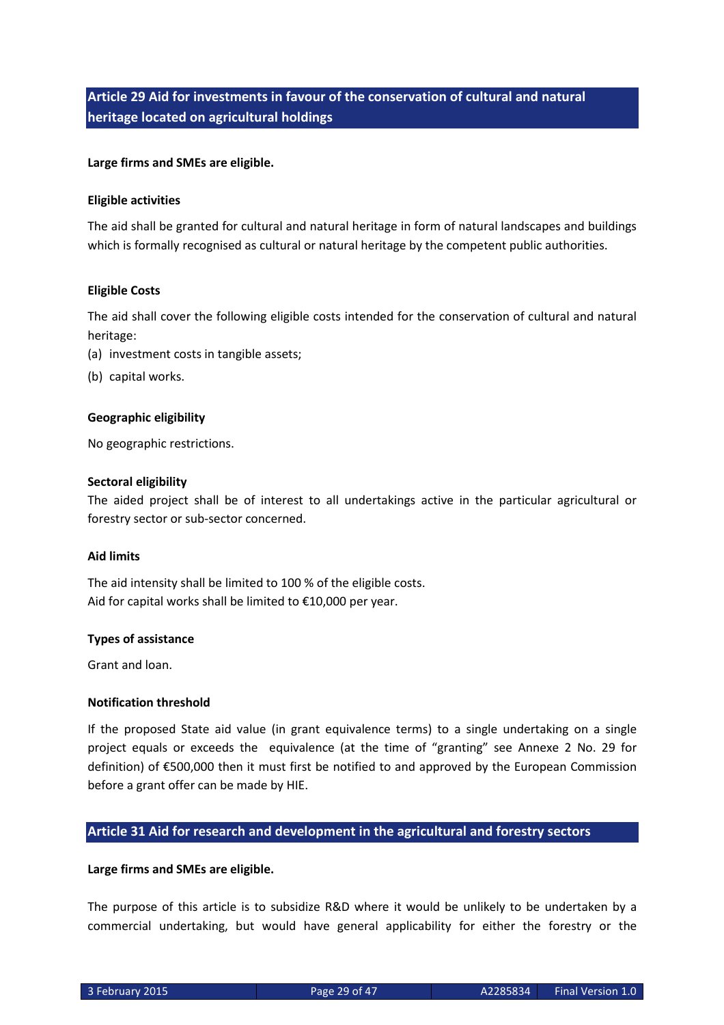# Article 29 Aid for investments in favour of the conservation of cultural and natural heritage located on agricultural holdings

## Large firms and SMEs are eligible.

## Eligible activities

The aid shall be granted for cultural and natural heritage in form of natural landscapes and buildings which is formally recognised as cultural or natural heritage by the competent public authorities.

## Eligible Costs

The aid shall cover the following eligible costs intended for the conservation of cultural and natural heritage:

- (a) investment costs in tangible assets;
- (b) capital works.

## Geographic eligibility

No geographic restrictions.

## Sectoral eligibility

The aided project shall be of interest to all undertakings active in the particular agricultural or forestry sector or sub-sector concerned.

## Aid limits

The aid intensity shall be limited to 100 % of the eligible costs. Aid for capital works shall be limited to €10,000 per year.

## Types of assistance

Grant and loan.

## Notification threshold

If the proposed State aid value (in grant equivalence terms) to a single undertaking on a single project equals or exceeds the equivalence (at the time of "granting" see Annexe 2 No. 29 for definition) of €500,000 then it must first be notified to and approved by the European Commission before a grant offer can be made by HIE.

# Article 31 Aid for research and development in the agricultural and forestry sectors

## Large firms and SMEs are eligible.

The purpose of this article is to subsidize R&D where it would be unlikely to be undertaken by a commercial undertaking, but would have general applicability for either the forestry or the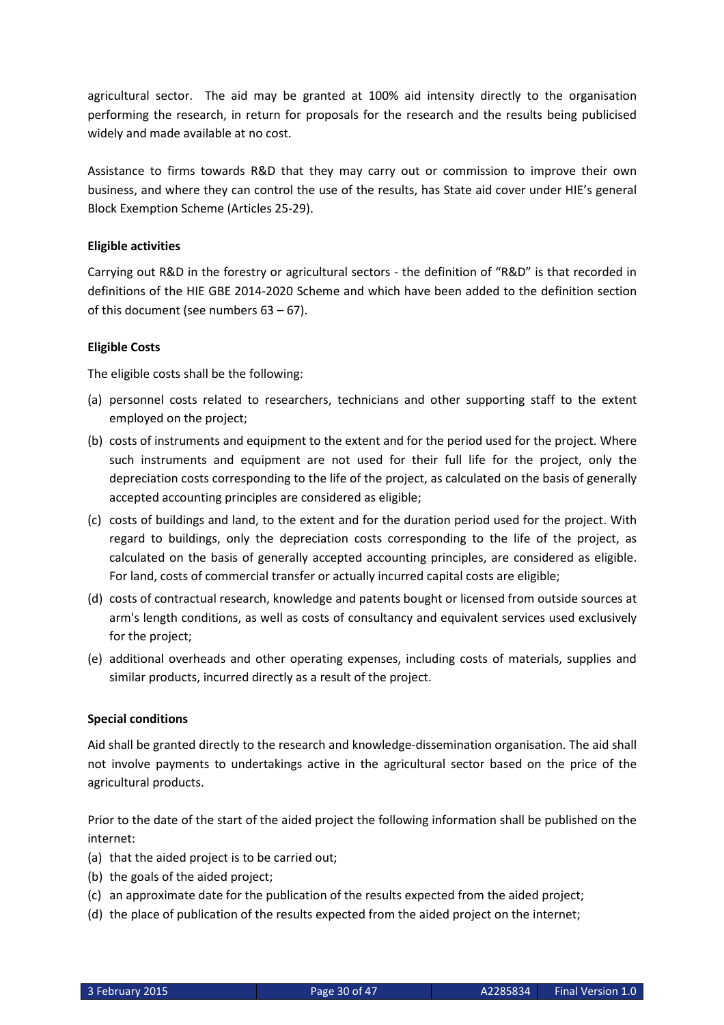agricultural sector. The aid may be granted at 100% aid intensity directly to the organisation performing the research, in return for proposals for the research and the results being publicised widely and made available at no cost.

Assistance to firms towards R&D that they may carry out or commission to improve their own business, and where they can control the use of the results, has State aid cover under HIE's general Block Exemption Scheme (Articles 25-29).

## Eligible activities

Carrying out R&D in the forestry or agricultural sectors - the definition of "R&D" is that recorded in definitions of the HIE GBE 2014-2020 Scheme and which have been added to the definition section of this document (see numbers 63 – 67).

## Eligible Costs

The eligible costs shall be the following:

- (a) personnel costs related to researchers, technicians and other supporting staff to the extent employed on the project;
- (b) costs of instruments and equipment to the extent and for the period used for the project. Where such instruments and equipment are not used for their full life for the project, only the depreciation costs corresponding to the life of the project, as calculated on the basis of generally accepted accounting principles are considered as eligible;
- (c) costs of buildings and land, to the extent and for the duration period used for the project. With regard to buildings, only the depreciation costs corresponding to the life of the project, as calculated on the basis of generally accepted accounting principles, are considered as eligible. For land, costs of commercial transfer or actually incurred capital costs are eligible;
- (d) costs of contractual research, knowledge and patents bought or licensed from outside sources at arm's length conditions, as well as costs of consultancy and equivalent services used exclusively for the project;
- (e) additional overheads and other operating expenses, including costs of materials, supplies and similar products, incurred directly as a result of the project.

## Special conditions

Aid shall be granted directly to the research and knowledge-dissemination organisation. The aid shall not involve payments to undertakings active in the agricultural sector based on the price of the agricultural products.

Prior to the date of the start of the aided project the following information shall be published on the internet:

- (a) that the aided project is to be carried out;
- (b) the goals of the aided project;
- (c) an approximate date for the publication of the results expected from the aided project;
- (d) the place of publication of the results expected from the aided project on the internet;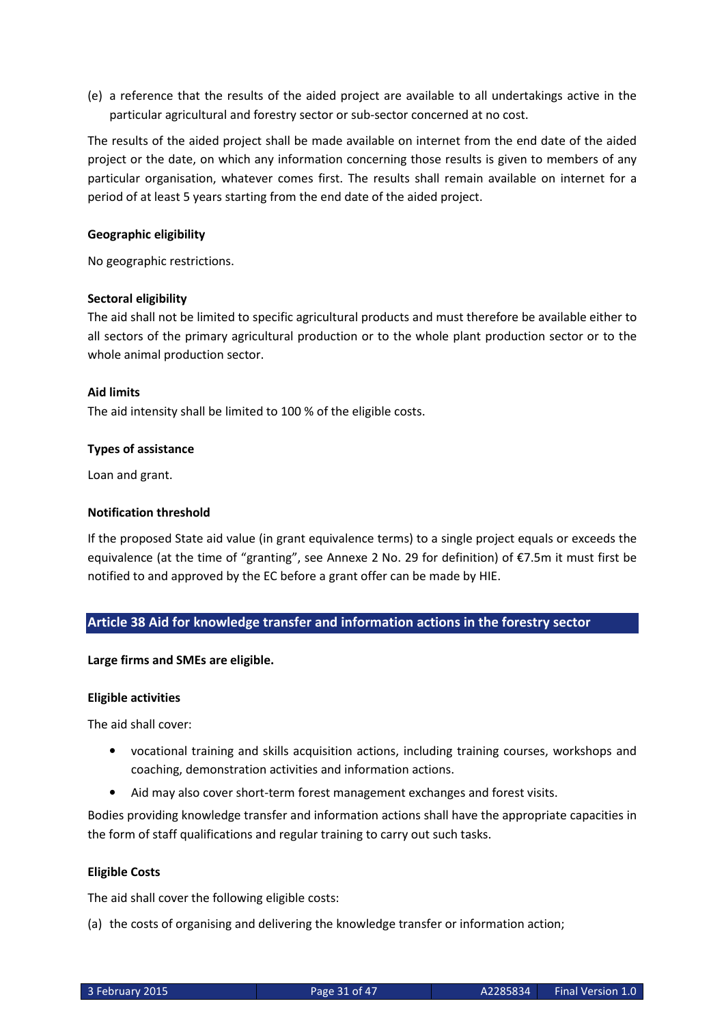(e) a reference that the results of the aided project are available to all undertakings active in the particular agricultural and forestry sector or sub-sector concerned at no cost.

The results of the aided project shall be made available on internet from the end date of the aided project or the date, on which any information concerning those results is given to members of any particular organisation, whatever comes first. The results shall remain available on internet for a period of at least 5 years starting from the end date of the aided project.

## Geographic eligibility

No geographic restrictions.

## Sectoral eligibility

The aid shall not be limited to specific agricultural products and must therefore be available either to all sectors of the primary agricultural production or to the whole plant production sector or to the whole animal production sector.

Aid limits The aid intensity shall be limited to 100 % of the eligible costs.

## Types of assistance

Loan and grant.

## Notification threshold

If the proposed State aid value (in grant equivalence terms) to a single project equals or exceeds the equivalence (at the time of "granting", see Annexe 2 No. 29 for definition) of €7.5m it must first be notified to and approved by the EC before a grant offer can be made by HIE.

# Article 38 Aid for knowledge transfer and information actions in the forestry sector

# Large firms and SMEs are eligible.

## Eligible activities

The aid shall cover:

- vocational training and skills acquisition actions, including training courses, workshops and coaching, demonstration activities and information actions.
- Aid may also cover short-term forest management exchanges and forest visits.

Bodies providing knowledge transfer and information actions shall have the appropriate capacities in the form of staff qualifications and regular training to carry out such tasks.

# Eligible Costs

The aid shall cover the following eligible costs:

(a) the costs of organising and delivering the knowledge transfer or information action;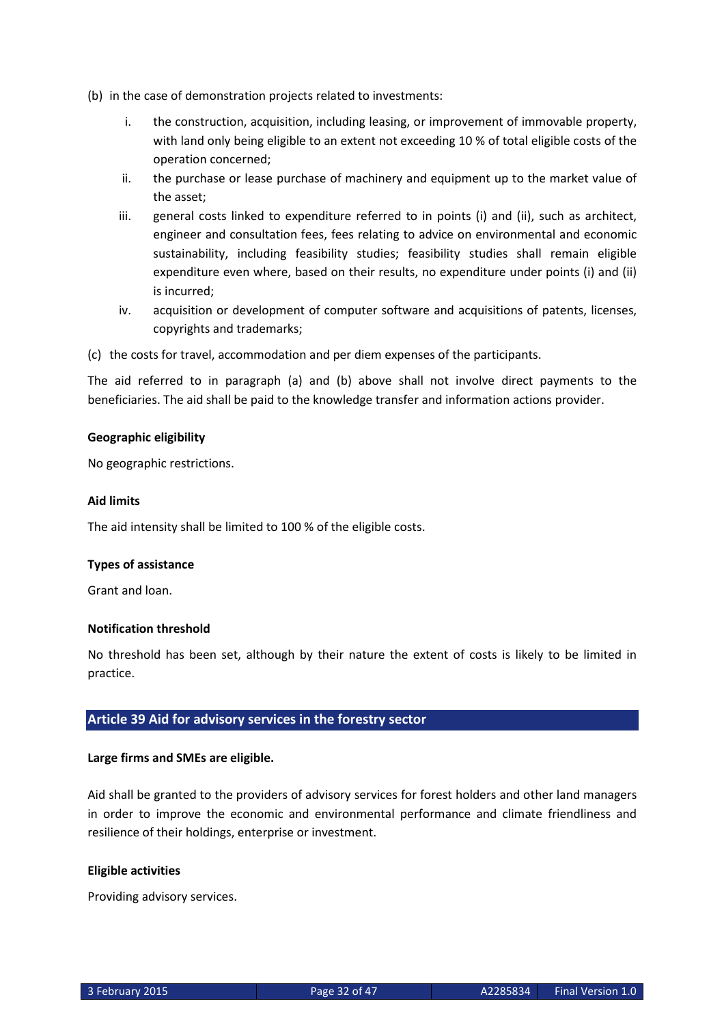- (b) in the case of demonstration projects related to investments:
	- i. the construction, acquisition, including leasing, or improvement of immovable property, with land only being eligible to an extent not exceeding 10 % of total eligible costs of the operation concerned;
	- ii. the purchase or lease purchase of machinery and equipment up to the market value of the asset;
	- iii. general costs linked to expenditure referred to in points (i) and (ii), such as architect, engineer and consultation fees, fees relating to advice on environmental and economic sustainability, including feasibility studies; feasibility studies shall remain eligible expenditure even where, based on their results, no expenditure under points (i) and (ii) is incurred;
	- iv. acquisition or development of computer software and acquisitions of patents, licenses, copyrights and trademarks;
- (c) the costs for travel, accommodation and per diem expenses of the participants.

The aid referred to in paragraph (a) and (b) above shall not involve direct payments to the beneficiaries. The aid shall be paid to the knowledge transfer and information actions provider.

## Geographic eligibility

No geographic restrictions.

## Aid limits

The aid intensity shall be limited to 100 % of the eligible costs.

# Types of assistance

Grant and loan.

# Notification threshold

No threshold has been set, although by their nature the extent of costs is likely to be limited in practice.

# Article 39 Aid for advisory services in the forestry sector

## Large firms and SMEs are eligible.

Aid shall be granted to the providers of advisory services for forest holders and other land managers in order to improve the economic and environmental performance and climate friendliness and resilience of their holdings, enterprise or investment.

## Eligible activities

Providing advisory services.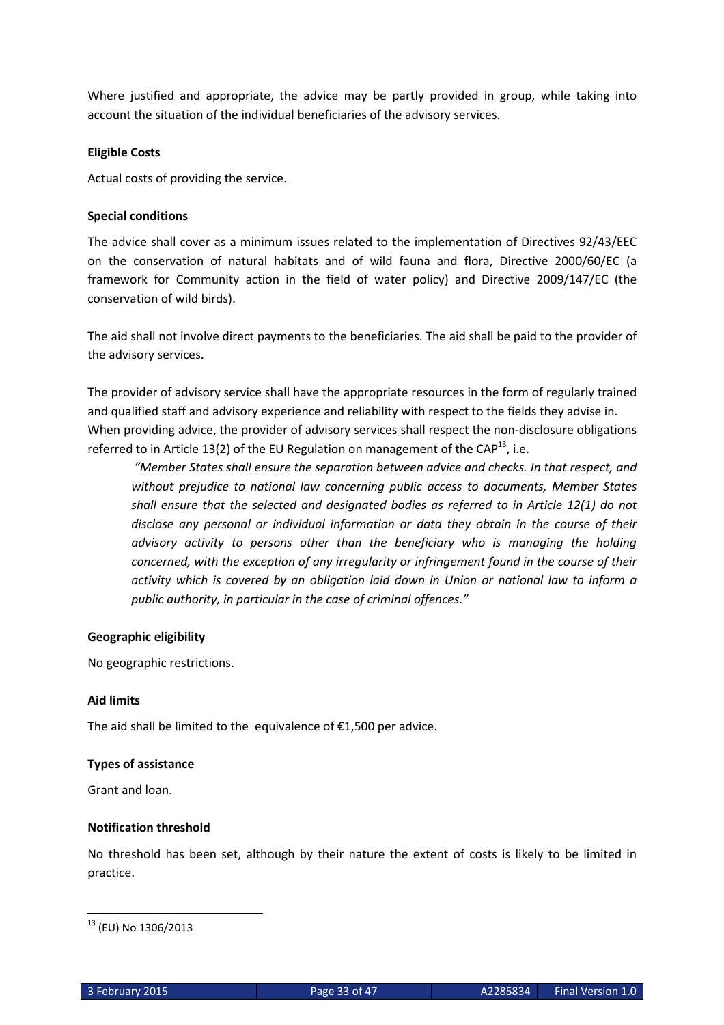Where justified and appropriate, the advice may be partly provided in group, while taking into account the situation of the individual beneficiaries of the advisory services.

## Eligible Costs

Actual costs of providing the service.

## Special conditions

The advice shall cover as a minimum issues related to the implementation of Directives 92/43/EEC on the conservation of natural habitats and of wild fauna and flora, Directive 2000/60/EC (a framework for Community action in the field of water policy) and Directive 2009/147/EC (the conservation of wild birds).

The aid shall not involve direct payments to the beneficiaries. The aid shall be paid to the provider of the advisory services.

The provider of advisory service shall have the appropriate resources in the form of regularly trained and qualified staff and advisory experience and reliability with respect to the fields they advise in. When providing advice, the provider of advisory services shall respect the non-disclosure obligations referred to in Article 13(2) of the EU Regulation on management of the  $CAP^{13}$ , i.e.

"Member States shall ensure the separation between advice and checks. In that respect, and without prejudice to national law concerning public access to documents, Member States shall ensure that the selected and designated bodies as referred to in Article 12(1) do not disclose any personal or individual information or data they obtain in the course of their advisory activity to persons other than the beneficiary who is managing the holding concerned, with the exception of any irregularity or infringement found in the course of their activity which is covered by an obligation laid down in Union or national law to inform a public authority, in particular in the case of criminal offences."

## Geographic eligibility

No geographic restrictions.

## Aid limits

The aid shall be limited to the equivalence of €1,500 per advice.

## Types of assistance

Grant and loan.

## Notification threshold

No threshold has been set, although by their nature the extent of costs is likely to be limited in practice.

 $\overline{\phantom{0}}$ 

<sup>13</sup> (EU) No 1306/2013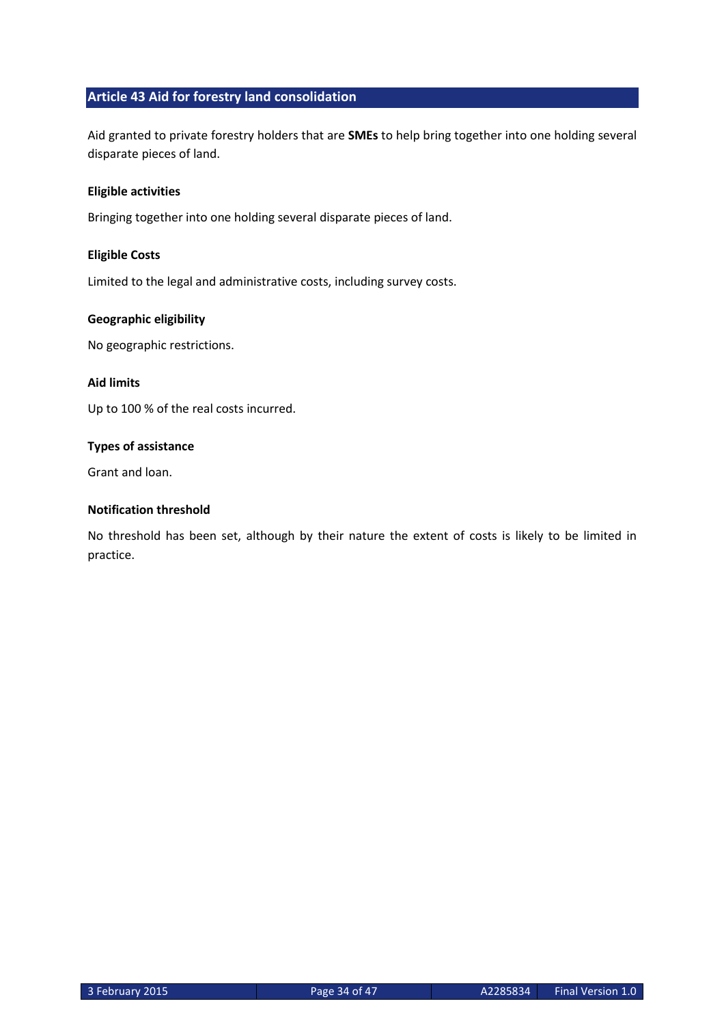# Article 43 Aid for forestry land consolidation

Aid granted to private forestry holders that are SMEs to help bring together into one holding several disparate pieces of land.

## Eligible activities

Bringing together into one holding several disparate pieces of land.

## Eligible Costs

Limited to the legal and administrative costs, including survey costs.

## Geographic eligibility

No geographic restrictions.

## Aid limits

Up to 100 % of the real costs incurred.

# Types of assistance

Grant and loan.

# Notification threshold

No threshold has been set, although by their nature the extent of costs is likely to be limited in practice.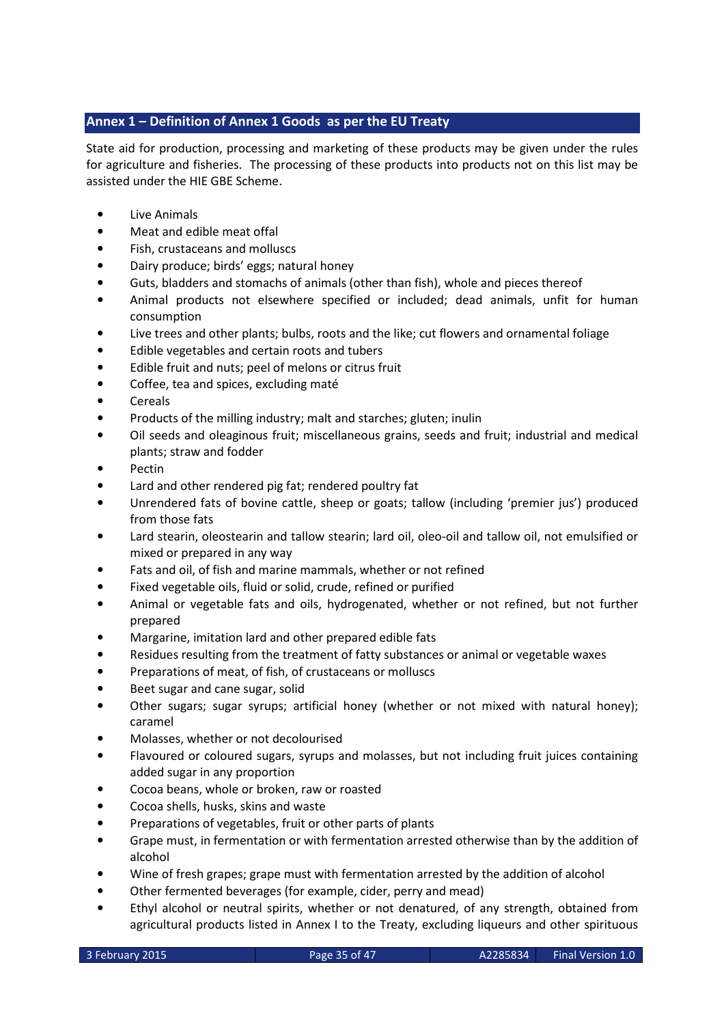# Annex 1 – Definition of Annex 1 Goods as per the EU Treaty

State aid for production, processing and marketing of these products may be given under the rules for agriculture and fisheries. The processing of these products into products not on this list may be assisted under the HIE GBE Scheme.

- Live Animals
- Meat and edible meat offal
- Fish, crustaceans and molluscs
- Dairy produce; birds' eggs; natural honey
- Guts, bladders and stomachs of animals (other than fish), whole and pieces thereof
- Animal products not elsewhere specified or included; dead animals, unfit for human consumption
- Live trees and other plants; bulbs, roots and the like; cut flowers and ornamental foliage
- Edible vegetables and certain roots and tubers
- Edible fruit and nuts; peel of melons or citrus fruit
- Coffee, tea and spices, excluding maté
- **Cereals**
- Products of the milling industry; malt and starches; gluten; inulin
- Oil seeds and oleaginous fruit; miscellaneous grains, seeds and fruit; industrial and medical plants; straw and fodder
- Pectin
- Lard and other rendered pig fat; rendered poultry fat
- Unrendered fats of bovine cattle, sheep or goats; tallow (including 'premier jus') produced from those fats
- Lard stearin, oleostearin and tallow stearin; lard oil, oleo-oil and tallow oil, not emulsified or mixed or prepared in any way
- Fats and oil, of fish and marine mammals, whether or not refined
- Fixed vegetable oils, fluid or solid, crude, refined or purified
- Animal or vegetable fats and oils, hydrogenated, whether or not refined, but not further prepared
- Margarine, imitation lard and other prepared edible fats
- Residues resulting from the treatment of fatty substances or animal or vegetable waxes
- Preparations of meat, of fish, of crustaceans or molluscs
- Beet sugar and cane sugar, solid
- Other sugars; sugar syrups; artificial honey (whether or not mixed with natural honey); caramel
- Molasses, whether or not decolourised
- Flavoured or coloured sugars, syrups and molasses, but not including fruit juices containing added sugar in any proportion
- Cocoa beans, whole or broken, raw or roasted
- Cocoa shells, husks, skins and waste
- Preparations of vegetables, fruit or other parts of plants
- Grape must, in fermentation or with fermentation arrested otherwise than by the addition of alcohol
- Wine of fresh grapes; grape must with fermentation arrested by the addition of alcohol
- Other fermented beverages (for example, cider, perry and mead)
- Ethyl alcohol or neutral spirits, whether or not denatured, of any strength, obtained from agricultural products listed in Annex I to the Treaty, excluding liqueurs and other spirituous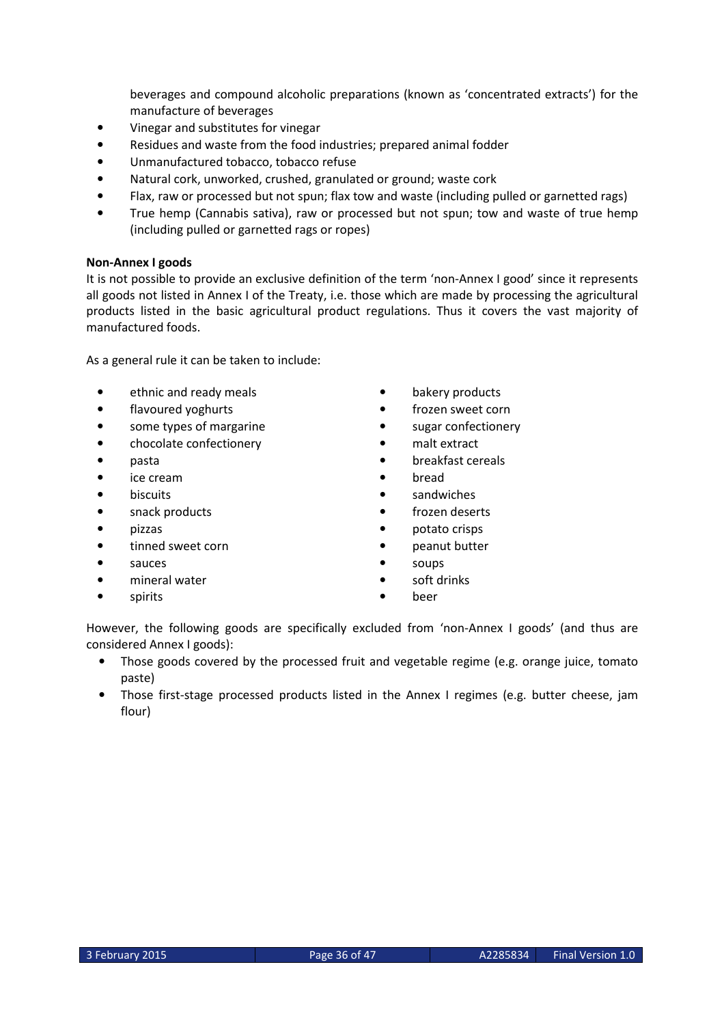beverages and compound alcoholic preparations (known as 'concentrated extracts') for the manufacture of beverages

- Vinegar and substitutes for vinegar
- Residues and waste from the food industries; prepared animal fodder
- Unmanufactured tobacco, tobacco refuse
- Natural cork, unworked, crushed, granulated or ground; waste cork
- Flax, raw or processed but not spun; flax tow and waste (including pulled or garnetted rags)
- True hemp (Cannabis sativa), raw or processed but not spun; tow and waste of true hemp (including pulled or garnetted rags or ropes)

# Non-Annex I goods

It is not possible to provide an exclusive definition of the term 'non-Annex I good' since it represents all goods not listed in Annex I of the Treaty, i.e. those which are made by processing the agricultural products listed in the basic agricultural product regulations. Thus it covers the vast majority of manufactured foods.

As a general rule it can be taken to include:

- ethnic and ready meals bakery products
- 
- 
- chocolate confectionery malt extract
- 
- 
- 
- 
- 
- 
- sauces soups
- 
- spirits beer
- 
- flavoured yoghurts **Fig. 2.1.** Frozen sweet corn
- some types of margarine **•** sugar confectionery
	-
- pasta breakfast cereals
- ice cream entry the set of the set of the set of the bread
- biscuits **•** sandwiches
- snack products **•** frozen deserts
- pizzas potato crisps
- tinned sweet corn **•** peanut butter
	-
- mineral water **•** soft drinks
	-

However, the following goods are specifically excluded from 'non-Annex I goods' (and thus are considered Annex I goods):

- Those goods covered by the processed fruit and vegetable regime (e.g. orange juice, tomato paste)
- Those first-stage processed products listed in the Annex I regimes (e.g. butter cheese, jam flour)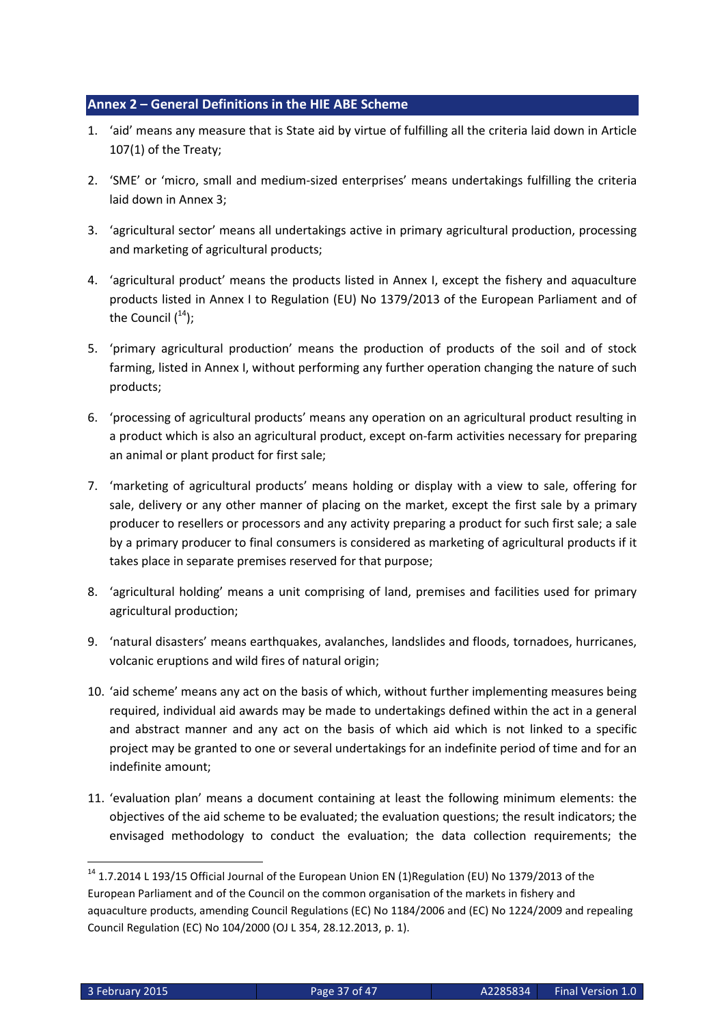# Annex 2 – General Definitions in the HIE ABE Scheme

- 1. 'aid' means any measure that is State aid by virtue of fulfilling all the criteria laid down in Article 107(1) of the Treaty;
- 2. 'SME' or 'micro, small and medium-sized enterprises' means undertakings fulfilling the criteria laid down in Annex 3;
- 3. 'agricultural sector' means all undertakings active in primary agricultural production, processing and marketing of agricultural products;
- 4. 'agricultural product' means the products listed in Annex I, except the fishery and aquaculture products listed in Annex I to Regulation (EU) No 1379/2013 of the European Parliament and of the Council  $(^{14})$ ;
- 5. 'primary agricultural production' means the production of products of the soil and of stock farming, listed in Annex I, without performing any further operation changing the nature of such products;
- 6. 'processing of agricultural products' means any operation on an agricultural product resulting in a product which is also an agricultural product, except on-farm activities necessary for preparing an animal or plant product for first sale;
- 7. 'marketing of agricultural products' means holding or display with a view to sale, offering for sale, delivery or any other manner of placing on the market, except the first sale by a primary producer to resellers or processors and any activity preparing a product for such first sale; a sale by a primary producer to final consumers is considered as marketing of agricultural products if it takes place in separate premises reserved for that purpose;
- 8. 'agricultural holding' means a unit comprising of land, premises and facilities used for primary agricultural production;
- 9. 'natural disasters' means earthquakes, avalanches, landslides and floods, tornadoes, hurricanes, volcanic eruptions and wild fires of natural origin;
- 10. 'aid scheme' means any act on the basis of which, without further implementing measures being required, individual aid awards may be made to undertakings defined within the act in a general and abstract manner and any act on the basis of which aid which is not linked to a specific project may be granted to one or several undertakings for an indefinite period of time and for an indefinite amount;
- 11. 'evaluation plan' means a document containing at least the following minimum elements: the objectives of the aid scheme to be evaluated; the evaluation questions; the result indicators; the envisaged methodology to conduct the evaluation; the data collection requirements; the

 $\overline{a}$ 

<sup>&</sup>lt;sup>14</sup> 1.7.2014 L 193/15 Official Journal of the European Union EN (1)Regulation (EU) No 1379/2013 of the European Parliament and of the Council on the common organisation of the markets in fishery and aquaculture products, amending Council Regulations (EC) No 1184/2006 and (EC) No 1224/2009 and repealing Council Regulation (EC) No 104/2000 (OJ L 354, 28.12.2013, p. 1).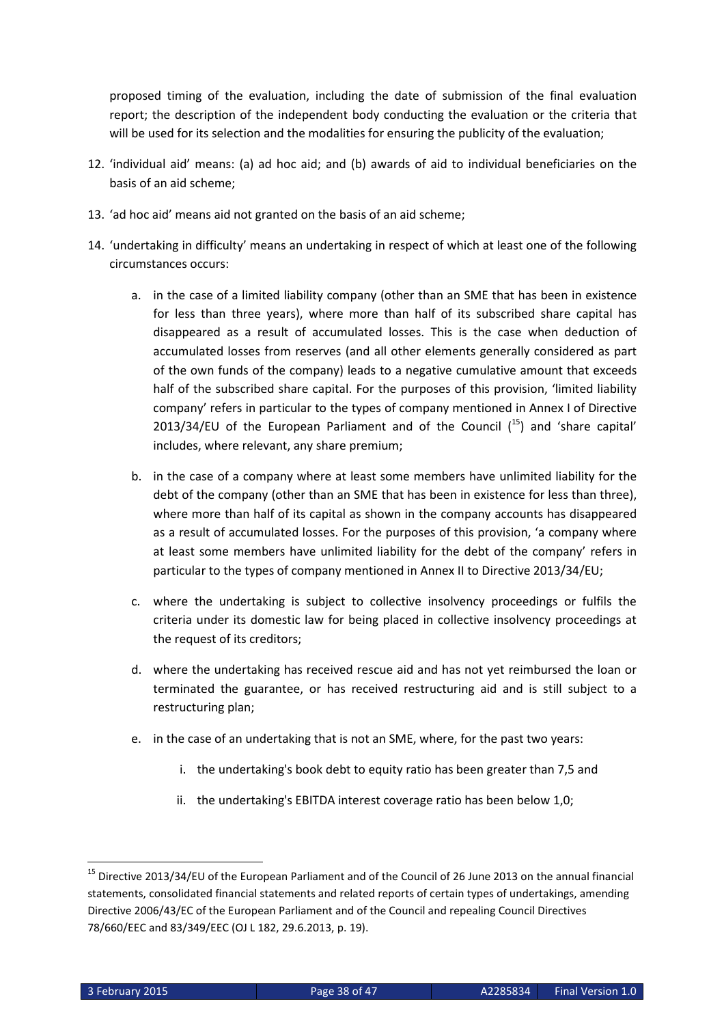proposed timing of the evaluation, including the date of submission of the final evaluation report; the description of the independent body conducting the evaluation or the criteria that will be used for its selection and the modalities for ensuring the publicity of the evaluation;

- 12. 'individual aid' means: (a) ad hoc aid; and (b) awards of aid to individual beneficiaries on the basis of an aid scheme;
- 13. 'ad hoc aid' means aid not granted on the basis of an aid scheme;
- 14. 'undertaking in difficulty' means an undertaking in respect of which at least one of the following circumstances occurs:
	- a. in the case of a limited liability company (other than an SME that has been in existence for less than three years), where more than half of its subscribed share capital has disappeared as a result of accumulated losses. This is the case when deduction of accumulated losses from reserves (and all other elements generally considered as part of the own funds of the company) leads to a negative cumulative amount that exceeds half of the subscribed share capital. For the purposes of this provision, 'limited liability company' refers in particular to the types of company mentioned in Annex I of Directive 2013/34/EU of the European Parliament and of the Council  $(^{15})$  and 'share capital' includes, where relevant, any share premium;
	- b. in the case of a company where at least some members have unlimited liability for the debt of the company (other than an SME that has been in existence for less than three), where more than half of its capital as shown in the company accounts has disappeared as a result of accumulated losses. For the purposes of this provision, 'a company where at least some members have unlimited liability for the debt of the company' refers in particular to the types of company mentioned in Annex II to Directive 2013/34/EU;
	- c. where the undertaking is subject to collective insolvency proceedings or fulfils the criteria under its domestic law for being placed in collective insolvency proceedings at the request of its creditors;
	- d. where the undertaking has received rescue aid and has not yet reimbursed the loan or terminated the guarantee, or has received restructuring aid and is still subject to a restructuring plan;
	- e. in the case of an undertaking that is not an SME, where, for the past two years:
		- i. the undertaking's book debt to equity ratio has been greater than 7,5 and
		- ii. the undertaking's EBITDA interest coverage ratio has been below 1,0;

 $\overline{a}$ 

<sup>15</sup> Directive 2013/34/EU of the European Parliament and of the Council of 26 June 2013 on the annual financial statements, consolidated financial statements and related reports of certain types of undertakings, amending Directive 2006/43/EC of the European Parliament and of the Council and repealing Council Directives 78/660/EEC and 83/349/EEC (OJ L 182, 29.6.2013, p. 19).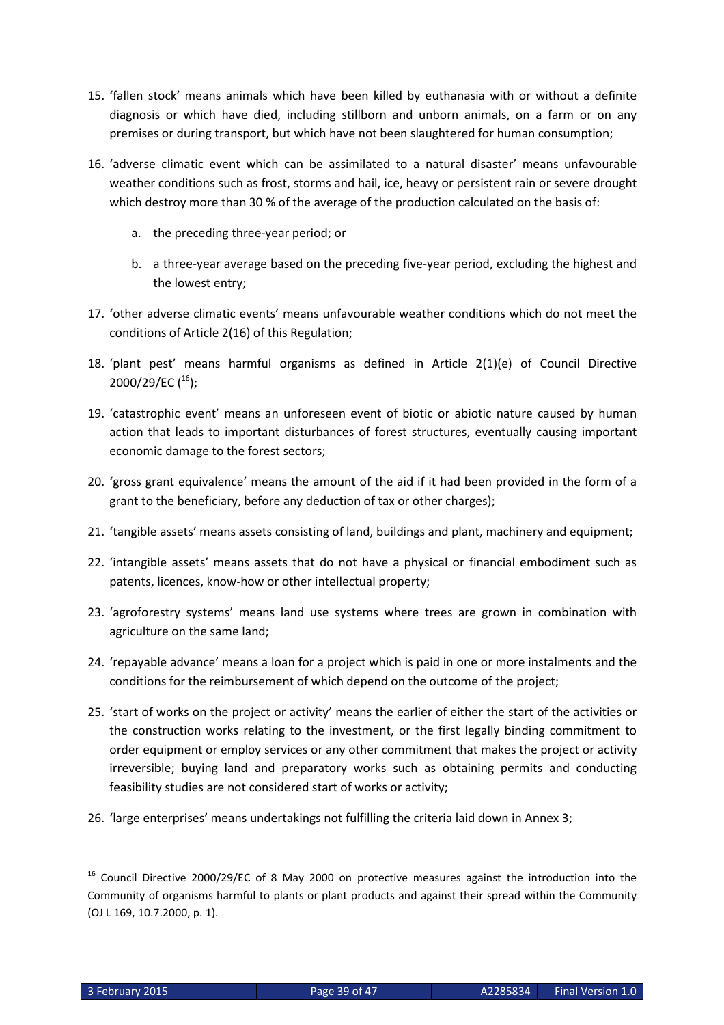- 15. 'fallen stock' means animals which have been killed by euthanasia with or without a definite diagnosis or which have died, including stillborn and unborn animals, on a farm or on any premises or during transport, but which have not been slaughtered for human consumption;
- 16. 'adverse climatic event which can be assimilated to a natural disaster' means unfavourable weather conditions such as frost, storms and hail, ice, heavy or persistent rain or severe drought which destroy more than 30 % of the average of the production calculated on the basis of:
	- a. the preceding three-year period; or
	- b. a three-year average based on the preceding five-year period, excluding the highest and the lowest entry;
- 17. 'other adverse climatic events' means unfavourable weather conditions which do not meet the conditions of Article 2(16) of this Regulation;
- 18. 'plant pest' means harmful organisms as defined in Article 2(1)(e) of Council Directive 2000/29/EC  $(^{16})$ ;
- 19. 'catastrophic event' means an unforeseen event of biotic or abiotic nature caused by human action that leads to important disturbances of forest structures, eventually causing important economic damage to the forest sectors;
- 20. 'gross grant equivalence' means the amount of the aid if it had been provided in the form of a grant to the beneficiary, before any deduction of tax or other charges);
- 21. 'tangible assets' means assets consisting of land, buildings and plant, machinery and equipment;
- 22. 'intangible assets' means assets that do not have a physical or financial embodiment such as patents, licences, know-how or other intellectual property;
- 23. 'agroforestry systems' means land use systems where trees are grown in combination with agriculture on the same land;
- 24. 'repayable advance' means a loan for a project which is paid in one or more instalments and the conditions for the reimbursement of which depend on the outcome of the project;
- 25. 'start of works on the project or activity' means the earlier of either the start of the activities or the construction works relating to the investment, or the first legally binding commitment to order equipment or employ services or any other commitment that makes the project or activity irreversible; buying land and preparatory works such as obtaining permits and conducting feasibility studies are not considered start of works or activity;
- 26. 'large enterprises' means undertakings not fulfilling the criteria laid down in Annex 3;

<sup>&</sup>lt;sup>16</sup> Council Directive 2000/29/EC of 8 May 2000 on protective measures against the introduction into the Community of organisms harmful to plants or plant products and against their spread within the Community (OJ L 169, 10.7.2000, p. 1).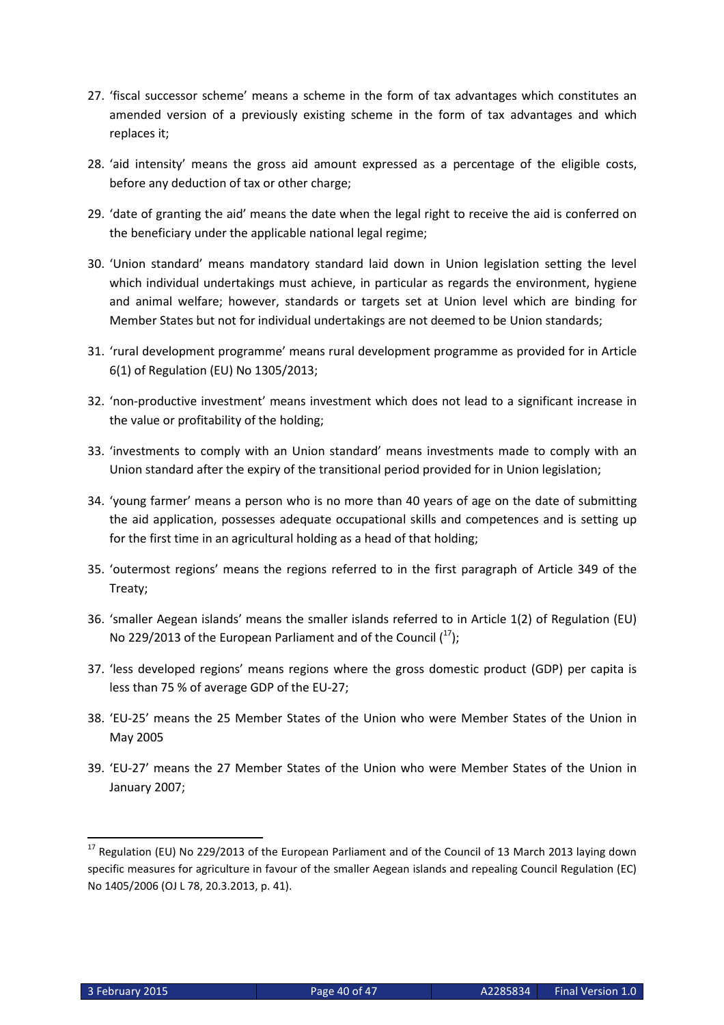- 27. 'fiscal successor scheme' means a scheme in the form of tax advantages which constitutes an amended version of a previously existing scheme in the form of tax advantages and which replaces it;
- 28. 'aid intensity' means the gross aid amount expressed as a percentage of the eligible costs, before any deduction of tax or other charge;
- 29. 'date of granting the aid' means the date when the legal right to receive the aid is conferred on the beneficiary under the applicable national legal regime;
- 30. 'Union standard' means mandatory standard laid down in Union legislation setting the level which individual undertakings must achieve, in particular as regards the environment, hygiene and animal welfare; however, standards or targets set at Union level which are binding for Member States but not for individual undertakings are not deemed to be Union standards;
- 31. 'rural development programme' means rural development programme as provided for in Article 6(1) of Regulation (EU) No 1305/2013;
- 32. 'non-productive investment' means investment which does not lead to a significant increase in the value or profitability of the holding;
- 33. 'investments to comply with an Union standard' means investments made to comply with an Union standard after the expiry of the transitional period provided for in Union legislation;
- 34. 'young farmer' means a person who is no more than 40 years of age on the date of submitting the aid application, possesses adequate occupational skills and competences and is setting up for the first time in an agricultural holding as a head of that holding;
- 35. 'outermost regions' means the regions referred to in the first paragraph of Article 349 of the Treaty;
- 36. 'smaller Aegean islands' means the smaller islands referred to in Article 1(2) of Regulation (EU) No 229/2013 of the European Parliament and of the Council  $(^{17})$ ;
- 37. 'less developed regions' means regions where the gross domestic product (GDP) per capita is less than 75 % of average GDP of the EU-27;
- 38. 'EU-25' means the 25 Member States of the Union who were Member States of the Union in May 2005
- 39. 'EU-27' means the 27 Member States of the Union who were Member States of the Union in January 2007;

<sup>&</sup>lt;sup>17</sup> Regulation (EU) No 229/2013 of the European Parliament and of the Council of 13 March 2013 laying down specific measures for agriculture in favour of the smaller Aegean islands and repealing Council Regulation (EC) No 1405/2006 (OJ L 78, 20.3.2013, p. 41).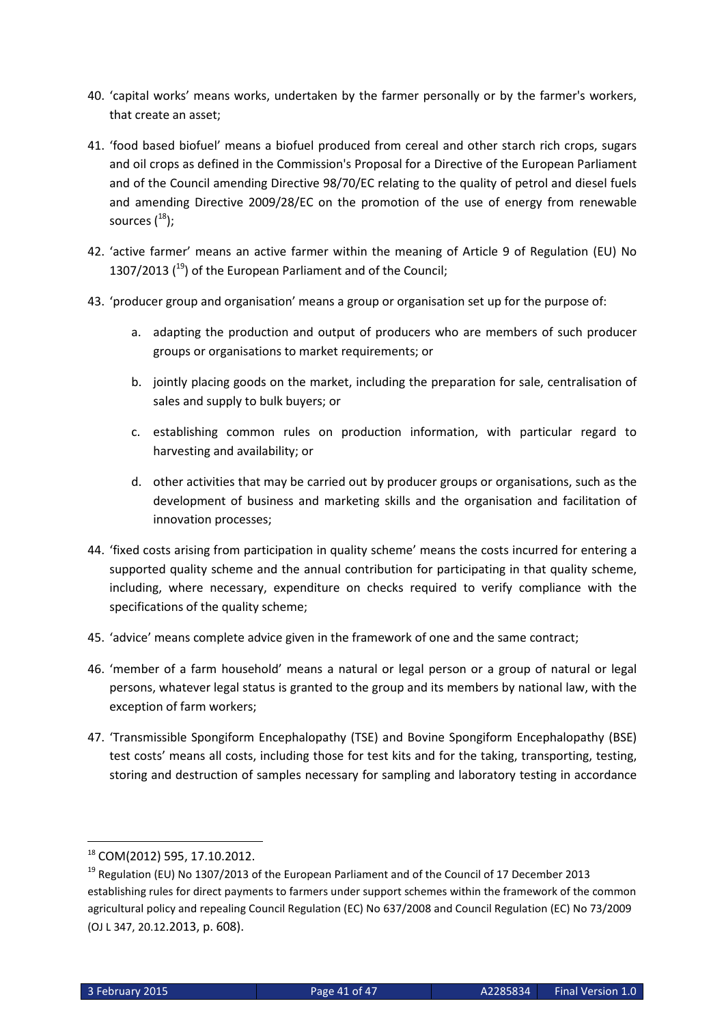- 40. 'capital works' means works, undertaken by the farmer personally or by the farmer's workers, that create an asset;
- 41. 'food based biofuel' means a biofuel produced from cereal and other starch rich crops, sugars and oil crops as defined in the Commission's Proposal for a Directive of the European Parliament and of the Council amending Directive 98/70/EC relating to the quality of petrol and diesel fuels and amending Directive 2009/28/EC on the promotion of the use of energy from renewable sources  $(^{18})$ ;
- 42. 'active farmer' means an active farmer within the meaning of Article 9 of Regulation (EU) No 1307/2013  $(19)$  of the European Parliament and of the Council;
- 43. 'producer group and organisation' means a group or organisation set up for the purpose of:
	- a. adapting the production and output of producers who are members of such producer groups or organisations to market requirements; or
	- b. jointly placing goods on the market, including the preparation for sale, centralisation of sales and supply to bulk buyers; or
	- c. establishing common rules on production information, with particular regard to harvesting and availability; or
	- d. other activities that may be carried out by producer groups or organisations, such as the development of business and marketing skills and the organisation and facilitation of innovation processes;
- 44. 'fixed costs arising from participation in quality scheme' means the costs incurred for entering a supported quality scheme and the annual contribution for participating in that quality scheme, including, where necessary, expenditure on checks required to verify compliance with the specifications of the quality scheme;
- 45. 'advice' means complete advice given in the framework of one and the same contract;
- 46. 'member of a farm household' means a natural or legal person or a group of natural or legal persons, whatever legal status is granted to the group and its members by national law, with the exception of farm workers;
- 47. 'Transmissible Spongiform Encephalopathy (TSE) and Bovine Spongiform Encephalopathy (BSE) test costs' means all costs, including those for test kits and for the taking, transporting, testing, storing and destruction of samples necessary for sampling and laboratory testing in accordance

 $\overline{a}$ 

<sup>18</sup> COM(2012) 595, 17.10.2012.

<sup>&</sup>lt;sup>19</sup> Regulation (EU) No 1307/2013 of the European Parliament and of the Council of 17 December 2013 establishing rules for direct payments to farmers under support schemes within the framework of the common agricultural policy and repealing Council Regulation (EC) No 637/2008 and Council Regulation (EC) No 73/2009 (OJ L 347, 20.12.2013, p. 608).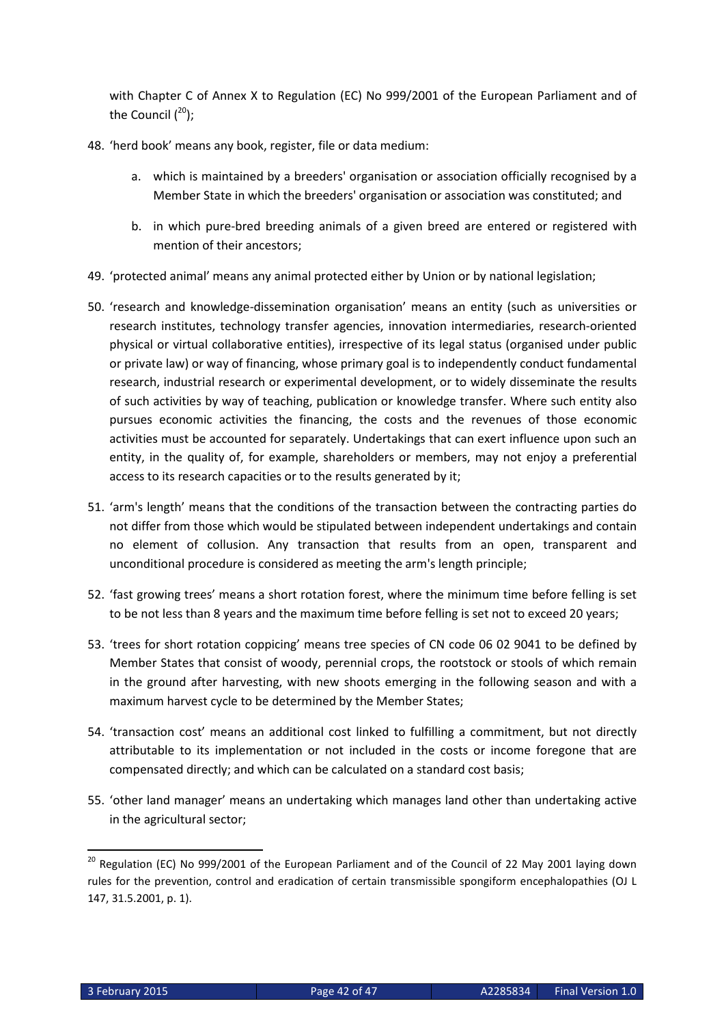with Chapter C of Annex X to Regulation (EC) No 999/2001 of the European Parliament and of the Council  $(^{20})$ ;

- 48. 'herd book' means any book, register, file or data medium:
	- a. which is maintained by a breeders' organisation or association officially recognised by a Member State in which the breeders' organisation or association was constituted; and
	- b. in which pure-bred breeding animals of a given breed are entered or registered with mention of their ancestors;
- 49. 'protected animal' means any animal protected either by Union or by national legislation;
- 50. 'research and knowledge-dissemination organisation' means an entity (such as universities or research institutes, technology transfer agencies, innovation intermediaries, research-oriented physical or virtual collaborative entities), irrespective of its legal status (organised under public or private law) or way of financing, whose primary goal is to independently conduct fundamental research, industrial research or experimental development, or to widely disseminate the results of such activities by way of teaching, publication or knowledge transfer. Where such entity also pursues economic activities the financing, the costs and the revenues of those economic activities must be accounted for separately. Undertakings that can exert influence upon such an entity, in the quality of, for example, shareholders or members, may not enjoy a preferential access to its research capacities or to the results generated by it;
- 51. 'arm's length' means that the conditions of the transaction between the contracting parties do not differ from those which would be stipulated between independent undertakings and contain no element of collusion. Any transaction that results from an open, transparent and unconditional procedure is considered as meeting the arm's length principle;
- 52. 'fast growing trees' means a short rotation forest, where the minimum time before felling is set to be not less than 8 years and the maximum time before felling is set not to exceed 20 years;
- 53. 'trees for short rotation coppicing' means tree species of CN code 06 02 9041 to be defined by Member States that consist of woody, perennial crops, the rootstock or stools of which remain in the ground after harvesting, with new shoots emerging in the following season and with a maximum harvest cycle to be determined by the Member States;
- 54. 'transaction cost' means an additional cost linked to fulfilling a commitment, but not directly attributable to its implementation or not included in the costs or income foregone that are compensated directly; and which can be calculated on a standard cost basis;
- 55. 'other land manager' means an undertaking which manages land other than undertaking active in the agricultural sector;

 $\overline{\phantom{0}}$ 

<sup>&</sup>lt;sup>20</sup> Regulation (EC) No 999/2001 of the European Parliament and of the Council of 22 May 2001 laying down rules for the prevention, control and eradication of certain transmissible spongiform encephalopathies (OJ L 147, 31.5.2001, p. 1).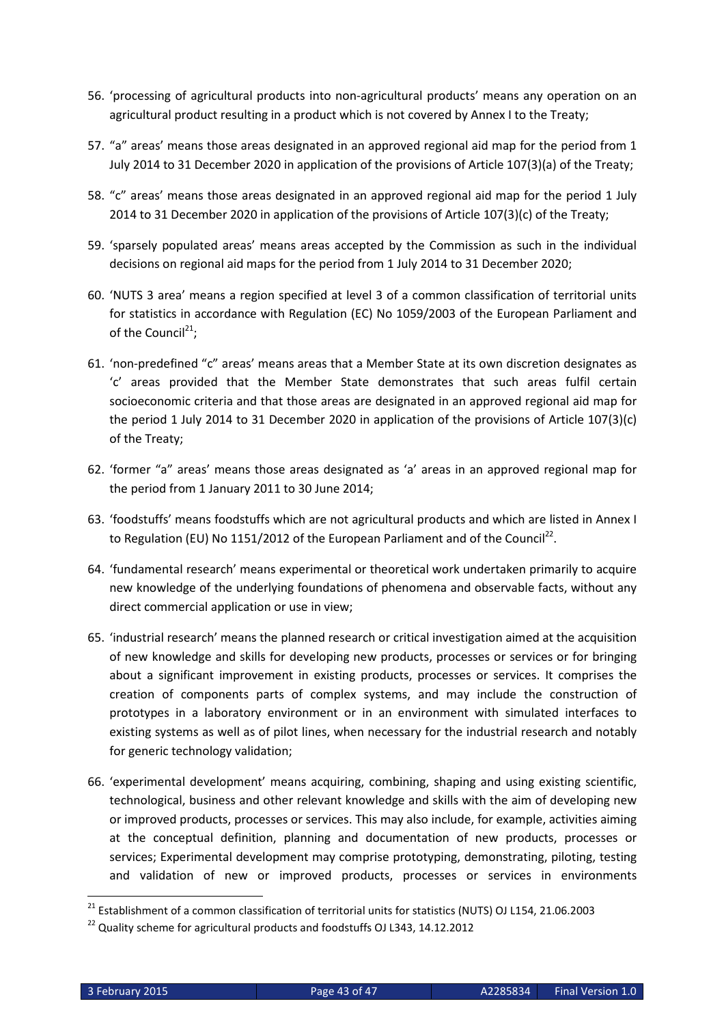- 56. 'processing of agricultural products into non-agricultural products' means any operation on an agricultural product resulting in a product which is not covered by Annex I to the Treaty;
- 57. "a" areas' means those areas designated in an approved regional aid map for the period from 1 July 2014 to 31 December 2020 in application of the provisions of Article 107(3)(a) of the Treaty;
- 58. "c" areas' means those areas designated in an approved regional aid map for the period 1 July 2014 to 31 December 2020 in application of the provisions of Article 107(3)(c) of the Treaty;
- 59. 'sparsely populated areas' means areas accepted by the Commission as such in the individual decisions on regional aid maps for the period from 1 July 2014 to 31 December 2020;
- 60. 'NUTS 3 area' means a region specified at level 3 of a common classification of territorial units for statistics in accordance with Regulation (EC) No 1059/2003 of the European Parliament and of the Council<sup>21</sup>;
- 61. 'non-predefined "c" areas' means areas that a Member State at its own discretion designates as 'c' areas provided that the Member State demonstrates that such areas fulfil certain socioeconomic criteria and that those areas are designated in an approved regional aid map for the period 1 July 2014 to 31 December 2020 in application of the provisions of Article 107(3)(c) of the Treaty;
- 62. 'former "a" areas' means those areas designated as 'a' areas in an approved regional map for the period from 1 January 2011 to 30 June 2014;
- 63. 'foodstuffs' means foodstuffs which are not agricultural products and which are listed in Annex I to Regulation (EU) No 1151/2012 of the European Parliament and of the Council<sup>22</sup>.
- 64. 'fundamental research' means experimental or theoretical work undertaken primarily to acquire new knowledge of the underlying foundations of phenomena and observable facts, without any direct commercial application or use in view;
- 65. 'industrial research' means the planned research or critical investigation aimed at the acquisition of new knowledge and skills for developing new products, processes or services or for bringing about a significant improvement in existing products, processes or services. It comprises the creation of components parts of complex systems, and may include the construction of prototypes in a laboratory environment or in an environment with simulated interfaces to existing systems as well as of pilot lines, when necessary for the industrial research and notably for generic technology validation;
- 66. 'experimental development' means acquiring, combining, shaping and using existing scientific, technological, business and other relevant knowledge and skills with the aim of developing new or improved products, processes or services. This may also include, for example, activities aiming at the conceptual definition, planning and documentation of new products, processes or services; Experimental development may comprise prototyping, demonstrating, piloting, testing and validation of new or improved products, processes or services in environments

<sup>&</sup>lt;sup>21</sup> Establishment of a common classification of territorial units for statistics (NUTS) OJ L154, 21.06.2003

 $22$  Quality scheme for agricultural products and foodstuffs OJ L343, 14.12.2012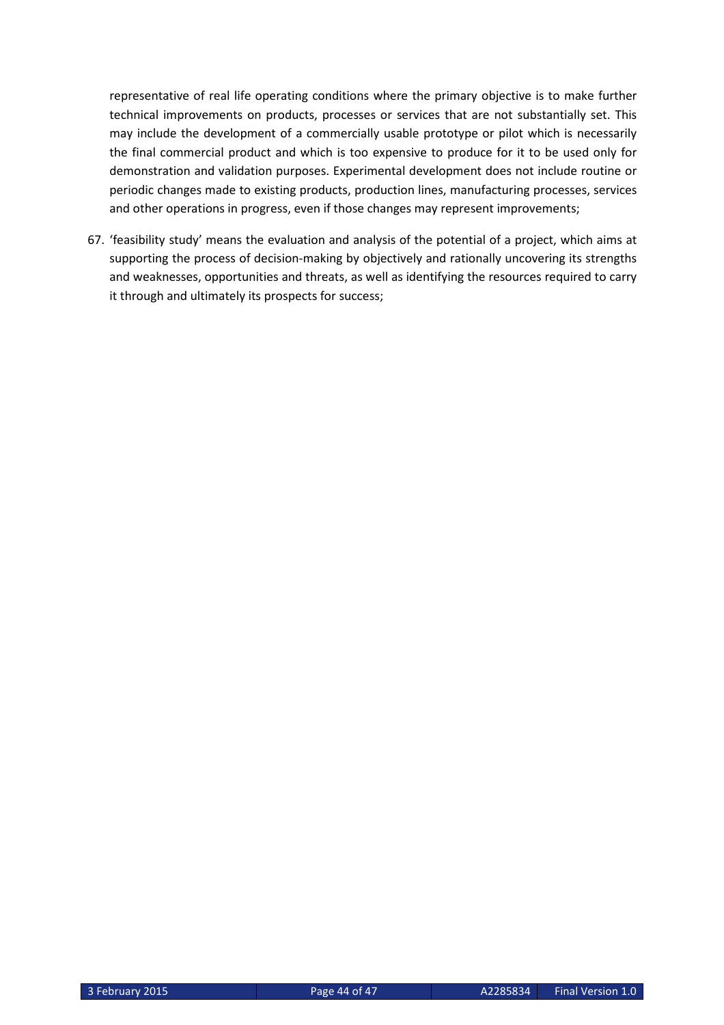representative of real life operating conditions where the primary objective is to make further technical improvements on products, processes or services that are not substantially set. This may include the development of a commercially usable prototype or pilot which is necessarily the final commercial product and which is too expensive to produce for it to be used only for demonstration and validation purposes. Experimental development does not include routine or periodic changes made to existing products, production lines, manufacturing processes, services and other operations in progress, even if those changes may represent improvements;

67. 'feasibility study' means the evaluation and analysis of the potential of a project, which aims at supporting the process of decision-making by objectively and rationally uncovering its strengths and weaknesses, opportunities and threats, as well as identifying the resources required to carry it through and ultimately its prospects for success;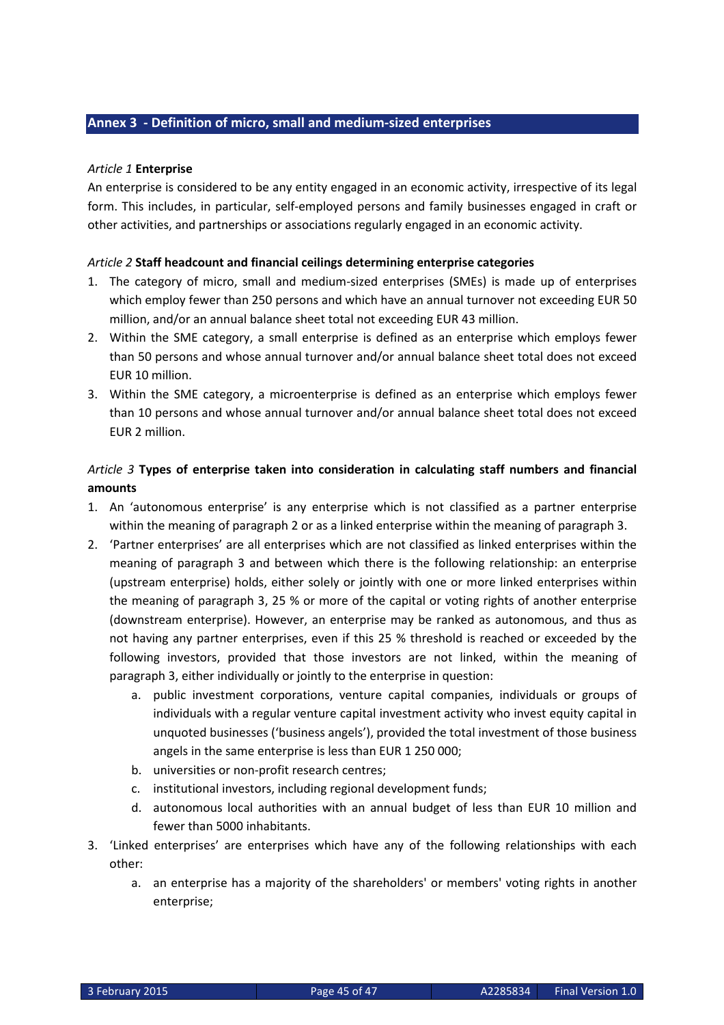# Annex 3 - Definition of micro, small and medium-sized enterprises

## Article 1 Enterprise

An enterprise is considered to be any entity engaged in an economic activity, irrespective of its legal form. This includes, in particular, self-employed persons and family businesses engaged in craft or other activities, and partnerships or associations regularly engaged in an economic activity.

# Article 2 Staff headcount and financial ceilings determining enterprise categories

- 1. The category of micro, small and medium-sized enterprises (SMEs) is made up of enterprises which employ fewer than 250 persons and which have an annual turnover not exceeding EUR 50 million, and/or an annual balance sheet total not exceeding EUR 43 million.
- 2. Within the SME category, a small enterprise is defined as an enterprise which employs fewer than 50 persons and whose annual turnover and/or annual balance sheet total does not exceed EUR 10 million.
- 3. Within the SME category, a microenterprise is defined as an enterprise which employs fewer than 10 persons and whose annual turnover and/or annual balance sheet total does not exceed EUR 2 million.

# Article 3 Types of enterprise taken into consideration in calculating staff numbers and financial amounts

- 1. An 'autonomous enterprise' is any enterprise which is not classified as a partner enterprise within the meaning of paragraph 2 or as a linked enterprise within the meaning of paragraph 3.
- 2. 'Partner enterprises' are all enterprises which are not classified as linked enterprises within the meaning of paragraph 3 and between which there is the following relationship: an enterprise (upstream enterprise) holds, either solely or jointly with one or more linked enterprises within the meaning of paragraph 3, 25 % or more of the capital or voting rights of another enterprise (downstream enterprise). However, an enterprise may be ranked as autonomous, and thus as not having any partner enterprises, even if this 25 % threshold is reached or exceeded by the following investors, provided that those investors are not linked, within the meaning of paragraph 3, either individually or jointly to the enterprise in question:
	- a. public investment corporations, venture capital companies, individuals or groups of individuals with a regular venture capital investment activity who invest equity capital in unquoted businesses ('business angels'), provided the total investment of those business angels in the same enterprise is less than EUR 1 250 000;
	- b. universities or non-profit research centres;
	- c. institutional investors, including regional development funds;
	- d. autonomous local authorities with an annual budget of less than EUR 10 million and fewer than 5000 inhabitants.
- 3. 'Linked enterprises' are enterprises which have any of the following relationships with each other:
	- a. an enterprise has a majority of the shareholders' or members' voting rights in another enterprise;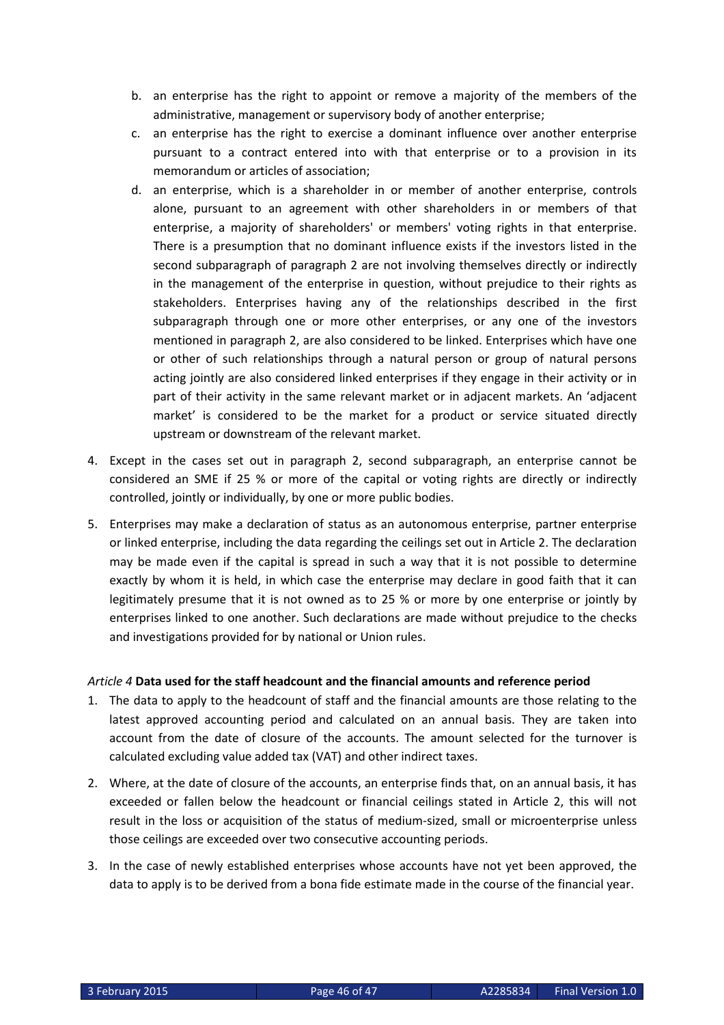- b. an enterprise has the right to appoint or remove a majority of the members of the administrative, management or supervisory body of another enterprise;
- c. an enterprise has the right to exercise a dominant influence over another enterprise pursuant to a contract entered into with that enterprise or to a provision in its memorandum or articles of association;
- d. an enterprise, which is a shareholder in or member of another enterprise, controls alone, pursuant to an agreement with other shareholders in or members of that enterprise, a majority of shareholders' or members' voting rights in that enterprise. There is a presumption that no dominant influence exists if the investors listed in the second subparagraph of paragraph 2 are not involving themselves directly or indirectly in the management of the enterprise in question, without prejudice to their rights as stakeholders. Enterprises having any of the relationships described in the first subparagraph through one or more other enterprises, or any one of the investors mentioned in paragraph 2, are also considered to be linked. Enterprises which have one or other of such relationships through a natural person or group of natural persons acting jointly are also considered linked enterprises if they engage in their activity or in part of their activity in the same relevant market or in adjacent markets. An 'adjacent market' is considered to be the market for a product or service situated directly upstream or downstream of the relevant market.
- 4. Except in the cases set out in paragraph 2, second subparagraph, an enterprise cannot be considered an SME if 25 % or more of the capital or voting rights are directly or indirectly controlled, jointly or individually, by one or more public bodies.
- 5. Enterprises may make a declaration of status as an autonomous enterprise, partner enterprise or linked enterprise, including the data regarding the ceilings set out in Article 2. The declaration may be made even if the capital is spread in such a way that it is not possible to determine exactly by whom it is held, in which case the enterprise may declare in good faith that it can legitimately presume that it is not owned as to 25 % or more by one enterprise or jointly by enterprises linked to one another. Such declarations are made without prejudice to the checks and investigations provided for by national or Union rules.

# Article 4 Data used for the staff headcount and the financial amounts and reference period

- 1. The data to apply to the headcount of staff and the financial amounts are those relating to the latest approved accounting period and calculated on an annual basis. They are taken into account from the date of closure of the accounts. The amount selected for the turnover is calculated excluding value added tax (VAT) and other indirect taxes.
- 2. Where, at the date of closure of the accounts, an enterprise finds that, on an annual basis, it has exceeded or fallen below the headcount or financial ceilings stated in Article 2, this will not result in the loss or acquisition of the status of medium-sized, small or microenterprise unless those ceilings are exceeded over two consecutive accounting periods.
- 3. In the case of newly established enterprises whose accounts have not yet been approved, the data to apply is to be derived from a bona fide estimate made in the course of the financial year.